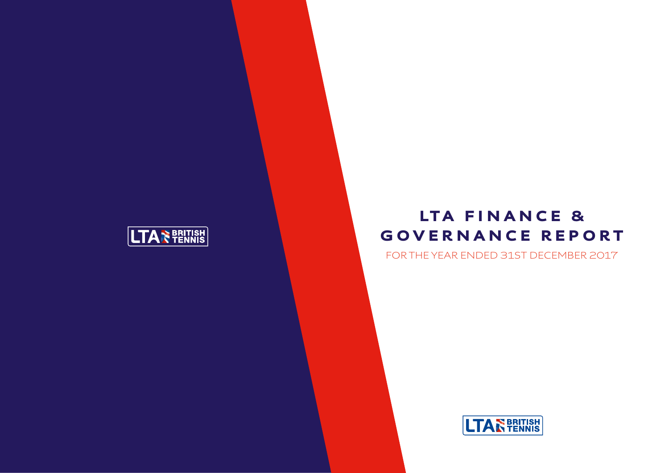

## LTA FINANCE & GOVERNANCE REPORT

FOR THE YEAR ENDED 31ST DECEMBER 2017

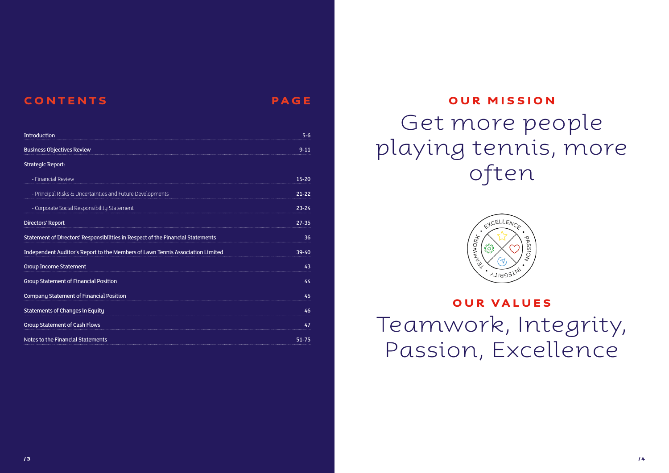| Introduction                                                                    | $5 - 6$   |
|---------------------------------------------------------------------------------|-----------|
| <b>Business Objectives Review</b>                                               | $9 - 11$  |
| <b>Strategic Report:</b>                                                        |           |
| - Financial Review                                                              | 15-20     |
| - Principal Risks & Uncertainties and Future Developments                       | $21 - 22$ |
| - Corporate Social Responsibility Statement                                     | $23 - 24$ |
| Directors' Report                                                               | $27 - 35$ |
| Statement of Directors' Responsibilities in Respect of the Financial Statements | 36        |
| Independent Auditor's Report to the Members of Lawn Tennis Association Limited  | $39 - 40$ |
| <b>Group Income Statement</b>                                                   | 43        |
| <b>Group Statement of Financial Position</b>                                    | 44        |
| <b>Company Statement of Financial Position</b>                                  | 45        |
| <b>Statements of Changes in Equity</b>                                          | 46        |
| <b>Group Statement of Cash Flows</b>                                            | 47        |
| Notes to the Financial Statements                                               | $51 - 75$ |

#### CONTENTS PAGE

# OUR MISSION

/ 3 */ 4*  $\,$  / 4  $\,$  / 4  $\,$  / 4  $\,$  / 4  $\,$  / 4  $\,$  / 4  $\,$  / 4  $\,$  / 4  $\,$  / 4  $\,$  / 4  $\,$  / 4  $\,$  / 4  $\,$  / 4  $\,$  / 4  $\,$  / 4  $\,$  / 4  $\,$  / 4  $\,$  / 4  $\,$  / 4  $\,$  /  $\,$   $\,$  /  $\,$   $\,$   $\,$   $\,$   $\$ 

Get more people playing tennis, more often



### OUR VALUES Teamwork, Integrity, Passion, Excellence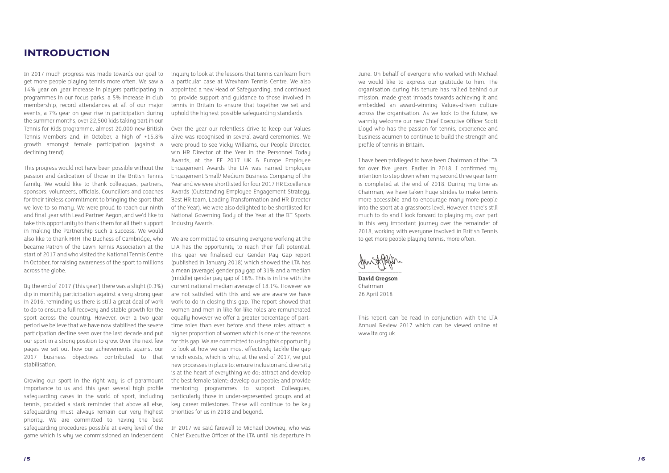#### INTRODUCTION

In 2017 much progress was made towards our goal to get more people playing tennis more often. We saw a 14% year on year increase in players participating in programmes in our focus parks, a 5% increase in club membership, record attendances at all of our major events, a 7% year on year rise in participation during the summer months, over 22,500 kids taking part in our Tennis for Kids programme, almost 20,000 new British Tennis Members and, in October, a high of +15.8% growth amongst female participation (against a declining trend).

This progress would not have been possible without the passion and dedication of those in the British Tennis family. We would like to thank colleagues, partners, sponsors, volunteers, officials, Councillors and coaches for their tireless commitment to bringing the sport that we love to so many. We were proud to reach our ninth and final year with Lead Partner Aegon, and we'd like to take this opportunity to thank them for all their support in making the Partnership such a success. We would also like to thank HRH The Duchess of Cambridge, who became Patron of the Lawn Tennis Association at the start of 2017 and who visited the National Tennis Centre in October, for raising awareness of the sport to millions across the globe.

Bu the end of 2017 ('this year') there was a slight (0.3%) dip in monthly participation against a very strong year in 2016, reminding us there is still a great deal of work to do to ensure a full recovery and stable growth for the sport across the country. However, over a two year period we believe that we have now stabilised the severe participation decline seen over the last decade and put our sport in a strong position to grow. Over the next few pages we set out how our achievements against our 2017 business objectives contributed to that stabilisation.

inquiry to look at the lessons that tennis can learn from a particular case at Wrexham Tennis Centre. We also appointed a new Head of Safeguarding, and continued to provide support and guidance to those involved in tennis in Britain to ensure that together we set and uphold the highest possible safeguarding standards.

Over the year our relentless drive to keep our Values alive was recognised in several award ceremonies. We were proud to see Vicky Williams, our People Director, win HR Director of the Year in the Personnel Today Awards, at the EE 2017 UK & Europe Employee Engagement Awards the LTA was named Employee Engagement Small/ Medium Business Company of the Year and we were shortlisted for four 2017 HR Excellence Awards (Outstanding Employee Engagement Strategy, Best HR team, Leading Transformation and HR Director of the Year). We were also delighted to be shortlisted for National Governing Body of the Year at the BT Sports Industry Awards.

Growing our sport in the right way is of paramount importance to us and this year several high profile safeguarding cases in the world of sport, including tennis, provided a stark reminder that above all else, safeguarding must always remain our very highest priority. We are committed to having the best safeguarding procedures possible at every level of the game which is why we commissioned an independent Chief Executive Officer of the LTA until his departure in

We are committed to ensuring everyone working at the LTA has the opportunity to reach their full potential. This year we finalised our Gender Pay Gap report (published in January 2018) which showed the LTA has a mean (average) gender pay gap of 31% and a median (middle) gender pay gap of 18%. This is in line with the current national median average of 18.1%. However we are not satisfied with this and we are aware we have work to do in closing this gap. The report showed that women and men in like-for-like roles are remunerated equally however we offer a greater percentage of parttime roles than ever before and these roles attract a higher proportion of women which is one of the reasons for this gap. We are committed to using this opportunity to look at how we can most effectively tackle the gap which exists, which is why, at the end of 2017, we put new processes in place to: ensure inclusion and diversity is at the heart of everything we do; attract and develop the best female talent; develop our people; and provide mentoring programmes to support Colleagues, particularly those in under-represented groups and at key career milestones. These will continue to be key priorities for us in 2018 and beyond.

In 2017 we said farewell to Michael Downey, who was

June. On behalf of everyone who worked with Michael we would like to express our gratitude to him. The organisation during his tenure has rallied behind our mission, made great inroads towards achieving it and embedded an award-winning Values-driven culture across the organisation. As we look to the future, we warmly welcome our new Chief Executive Officer Scott Lloyd who has the passion for tennis, experience and business acumen to continue to build the strength and profile of tennis in Britain.

I have been privileged to have been Chairman of the LTA for over five years. Earlier in 2018, I confirmed my intention to step down when my second three year term is completed at the end of 2018. During my time as Chairman, we have taken huge strides to make tennis more accessible and to encourage many more people into the sport at a grassroots level. However, there's still much to do and I look forward to playing my own part in this very important journey over the remainder of 2018, working with everyone involved in British Tennis to get more people playing tennis, more often.

 $\overline{\phantom{a}}$ 

**David Gregson** Chairman 26 April 2018

This report can be read in conjunction with the LTA Annual Review 2017 which can be viewed online at [www.lta.org.uk](https://www.lta.org.uk/).

/ 5 / 6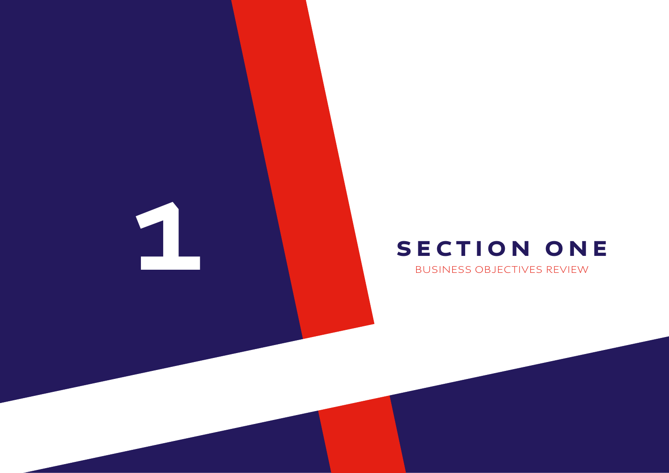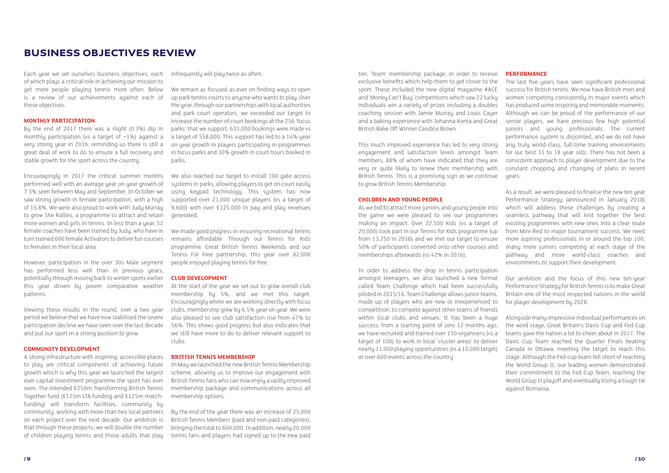#### BUSINESS OBJECTIVES REVIEW

Each year we set ourselves business objectives, each of which plays a critical role in achieving our mission to get more people playing tennis more often. Below is a review of our achievements against each of these objectives.

#### **MONTHLY PARTICIPATION**

By the end of 2017 there was a slight (0.3%) dip in monthly participation (vs a target of +1%) against a very strong year in 2016, reminding us there is still a great deal of work to do to ensure a full recovery and stable growth for the sport across the country.

Encouragingly in 2017 the critical summer months performed well with an average year on year growth of 7.3% seen between May and September. In October we saw strong growth in female participation, with a high of 15.8%. We were also proud to work with Judy Murray to grow She Rallies, a programme to attract and retain more women and girls in tennis. In less than a year, 52 female coaches have been trained by Judy, who have in turn trained 600 female Activators to deliver fun courses to females in their local area.

However, participation in the over 30s Male segment has performed less well than in previous years, potentially through moving back to winter sports earlier this year driven by poorer comparative weather patterns.

Viewing these results in the round, over a two year period we believe that we have now stabilised the severe participation decline we have seen over the last decade and put our sport in a strong position to grow.

We also reached our target to install 100 gate access systems in parks, allowing players to get on court easily using keypad technology. This system has now supported over 21,000 unique players (vs a target of 9,600) with over £125,000 in pay and play revenues generated.

#### **COMMUNITY DEVELOPMENT**

At the start of the year we set out to grow overall club membership by 5%, and we met this target. Encouragingly where we are working directly with focus clubs, membership grew by 6.5% year on year. We were also pleased to see club satisfaction rise from 47% to 56%. This shows good progress but also indicates that we still have more to do to deliver relevant support to clubs.

A strong infrastructure with inspiring, accessible places to play are critical components of achieving future growth which is why this year we launched the largest ever capital investment programme the sport has ever seen. The intended £250m Transforming British Tennis Together fund (£125m LTA funding and £125m matchfunding) will transform facilities, community by community, working with more than two local partners on each project over the next decade. Our ambition is that through these projects, we will double the number of children playing tennis and those adults that play

infrequently will play twice as often.

We remain as focused as ever on finding ways to open up park tennis courts to anyone who wants to play. Over the year, through our partnerships with local authorities and park court operators, we exceeded our target to increase the number of court bookings at the 256 'focus parks' that we support; 631,000 bookings were made vs a target of 558,000. This support has led to a 14% year on year growth in players participating in programmes in focus parks and 30% growth in court hours booked in parks.

We made good progress in ensuring recreational tennis remains affordable. Through our Tennis for Kids programme, Great British Tennis Weekends and our Tennis For Free partnership, this year over 82,000 people enjoyed playing tennis for free.

#### **CLUB DEVELOPMENT**

The last five years have seen significant professional success for British tennis. We now have British men and women competing consistently in major events which has produced some inspiring and memorable moments. Although we can be proud of the performance of our senior players, we have precious few high potential juniors and young professionals. The current performance system is disjointed, and we do not have any truly world-class, full-time training environments for our best 11 to 18 year olds. There has not been a consistent approach to player development due to the constant chopping and changing of plans in recent years.

#### **BRITISH TENNIS MEMBERSHIP**

In May we launched the new British Tennis Membership scheme, allowing us to improve our engagement with British Tennis fans who can now enjoy a vastly improved membership package and communications across all membership options.

By the end of the year there was an increase of 25,000 British Tennis Members (paid and non-paid categories), bringing the total to 600,000. In addition, nearly 20,000 tennis fans and players had signed up to the new paid

tier, 'Team' membership package, in order to receive exclusive benefits which help them to get closer to the sport. These included the new digital magazine #ACE and 'Moneu Can't Buu' competitions which saw 22 lucku individuals win a variety of prizes including a doubles coaching session with Jamie Murray and Louis Cayer and a baking experience with Johanna Konta and Great British Bake Off Winner Candice Brown.

This much improved experience has led to very strong engagement and satisfaction levels amongst Team members, 88% of whom have indicated that they are very or quite likely to renew their membership with British Tennis. This is a promising sign as we continue to grow British Tennis Membership.

#### **CHILDREN AND YOUNG PEOPLE**

As we bid to attract more juniors and young people into the game we were pleased to see our programmes making an impact. Over 22,500 kids (vs a target of 20,000) took part in our Tennis for Kids programme (up from 13,250 in 2016) and we met our target to ensure 50% of participants converted onto other courses and memberships afterwards (vs 42% in 2016).

In order to address the drop in tennis participation amongst teenagers, we also launched a new format called Team Challenge which had been successfully piloted in 2015/16. Team Challenge allows junior teams, made up of players who are new or inexperienced to competition, to compete against other teams of friends within local clubs and venues. It has been a huge success; from a starting point of zero 12 months ago, we have recruited and trained over 150 organisers (vs a target of 100) to work in local 'cluster areas' to deliver nearly 11,000 playing opportunities (vs a 10,000 target) at over 600 events across the country.

#### **PERFORMANCE**

As a result, we were pleased to finalise the new ten year Performance Strategy (announced in January 2018) which will address these challenges by creating a seamless pathway that will knit together the best existing programmes with new ones into a clear route from Mini-Red to major tournament success. We need more aspiring professionals in or around the top 100, many more juniors competing at each stage of the pathway and more world-class coaches and environments to support their development.

Our ambition and the focus of this new ten-year Performance Strategy for British Tennis is to make Great Britain one of the most respected nations in the world for player development by 2028.

Alongside many impressive individual performances on the word stage, Great Britain's Davis Cup and Fed Cup teams gave the nation a lot to cheer about in 2017. The Davis Cup Team reached the Quarter Finals beating Canada in Ottawa, meeting the target to reach this stage. Although the Fed cup team fell short of reaching the World Group II, our leading women demonstrated their commitment to the Fed Cup Team, reaching the World Group II playoff and eventually losing a tough tie against Romania.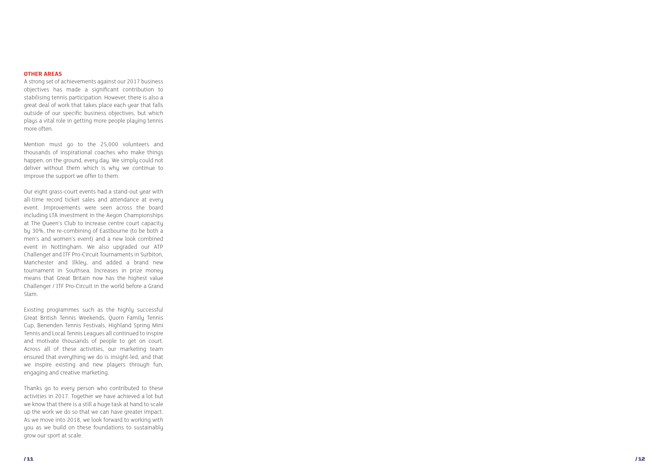#### **OTHER AREAS**

A strong set of achievements against our 2017 business objectives has made a significant contribution to stabilising tennis participation. However, there is also a great deal of work that takes place each year that falls outside of our specific business objectives, but which plays a vital role in getting more people playing tennis more often.

Mention must go to the 25,000 volunteers and thousands of inspirational coaches who make things happen, on the ground, every day. We simply could not deliver without them which is why we continue to improve the support we offer to them.

Our eight grass-court events had a stand-out year with all-time record ticket sales and attendance at every event. Improvements were seen across the board including LTA investment in the Aegon Championships at The Queen's Club to increase centre court capacity by 30%, the re-combining of Eastbourne (to be both a men's and women's event) and a new look combined event in Nottingham. We also upgraded our ATP Challenger and ITF Pro-Circuit Tournaments in Surbiton, Manchester and Ilkley, and added a brand new tournament in Southsea. Increases in prize money means that Great Britain now has the highest value Challenger / ITF Pro-Circuit in the world before a Grand Slam.

Existing programmes such as the highly successful Great British Tennis Weekends, Quorn Family Tennis Cup, Benenden Tennis Festivals, Highland Spring Mini Tennis and Local Tennis Leagues all continued to inspire and motivate thousands of people to get on court. Across all of these activities, our marketing team ensured that everything we do is insight-led, and that we inspire existing and new players through fun, engaging and creative marketing.

Thanks go to every person who contributed to these activities in 2017. Together we have achieved a lot but we know that there is a still a huge task at hand to scale up the work we do so that we can have greater impact. As we move into 2018, we look forward to working with you as we build on these foundations to sustainably grow our sport at scale.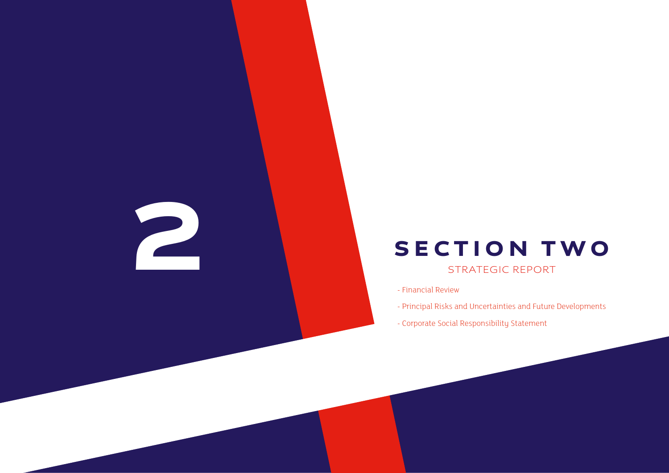2

- Financial Review

- Principal Risks and Uncertainties and Future Developments

- 
- Corporate Social Responsibility Statement

## SECTION TWO

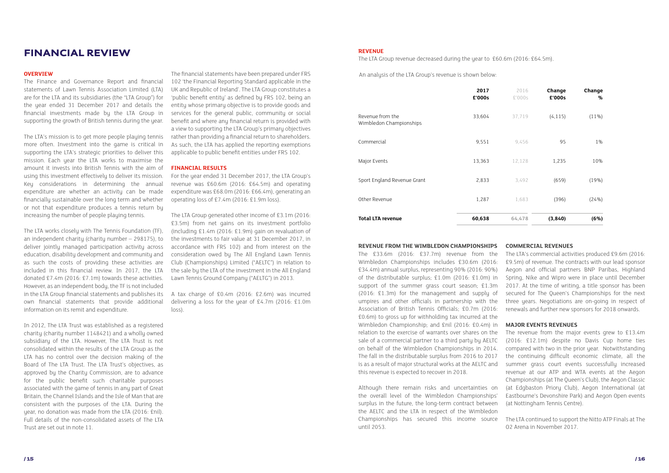The LTA Group revenue decreased during the year to £60.6m (2016: £64.5m).

#### **FINANCIAL REVIEW THE REVENUE AND REVENUE ASSESSMENT REVENUE**

The Finance and Governance Report and financial statements of Lawn Tennis Association Limited (LTA) are for the LTA and its subsidiaries (the "LTA Group") for the year ended 31 December 2017 and details the financial investments made by the LTA Group in supporting the growth of British tennis during the year.

The LTA's mission is to get more people playing tennis more often. Investment into the game is critical in supporting the LTA's strategic priorities to deliver this mission. Each year the LTA works to maximise the amount it invests into British Tennis with the aim of using this investment effectively to deliver its mission. Key considerations in determining the annual expenditure are whether an activity can be made financially sustainable over the long term and whether or not that expenditure produces a tennis return by increasing the number of people playing tennis.

The LTA works closely with The Tennis Foundation (TF), an independent charity (charity number – 298175), to deliver jointly managed participation activity across education, disability development and community and as such the costs of providing these activities are included in this financial review. In 2017, the LTA donated £7.4m (2016: £7.1m) towards these activities. However, as an independent body, the TF is not included in the LTA Group financial statements and publishes its own financial statements that provide additional information on its remit and expenditure.

**OVERVIEW COVERVIEW COVERVIEW COVERVIEW COVERVIEW And analysis of the LTA Group's revenue is shown below:** The financial statements have been prepared under FRS 102 'the Financial Reporting Standard applicable in the UK and Republic of Ireland'. The LTA Group constitutes a 'public benefit entity' as defined by FRS 102, being an entity whose primary objective is to provide goods and services for the general public, community or social benefit and where any financial return is provided with a view to supporting the LTA Group's primary objectives rather than providing a financial return to shareholders. As such, the LTA has applied the reporting exemptions applicable to public benefit entities under FRS 102.

In 2012, The LTA Trust was established as a registered charity (charity number 1148421) and a wholly owned subsidiary of the LTA. However, The LTA Trust is not consolidated within the results of the LTA Group as the LTA has no control over the decision making of the Board of The LTA Trust. The LTA Trust's objectives, as approved by the Charity Commission, are to advance for the public benefit such charitable purposes associated with the game of tennis in any part of Great Britain, the Channel Islands and the Isle of Man that are consistent with the purposes of the LTA. During the year, no donation was made from the LTA (2016: £nil). Full details of the non-consolidated assets of The LTA Trust are set out in note 11.

#### **FINANCIAL RESULTS**

For the year ended 31 December 2017, the LTA Group's revenue was £60.6m (2016: £64.5m) and operating expenditure was £68.0m (2016: £66.4m), generating an operating loss of £7.4m (2016: £1.9m loss).

The LTA Group generated other income of £3.1m (2016: £3.5m) from net gains on its investment portfolio (including £1.4m (2016: £1.9m) gain on revaluation of the investments to fair value at 31 December 2017, in accordance with FRS 102) and from interest on the consideration owed by The All England Lawn Tennis Club (Championships) Limited ("AELTC") in relation to the sale by the LTA of the investment in the All England Lawn Tennis Ground Company ("AELTG") in 2013.

A tax charge of £0.4m (2016: £2.6m) was incurred delivering a loss for the year of £4.7m (2016: £1.0m loss).

| Change<br>% | Change<br>£'000s | 2016<br>£'000s | 2017<br>£'000s |
|-------------|------------------|----------------|----------------|
| $(11\%)$    | (4, 115)         | 37,719         | 33,604         |
| $1\%$       | 95               | 9,456          | 9,551          |
| 10%         | 1,235            | 12,128         | 13,363         |
| (19%)       | (659)            | 3,492          | 2,833          |
| (24%)       | (396)            | 1,683          | 1,287          |
| (6%)        | (3,840)          | 64,478         | 60,638         |

|                                             | 2017<br>£'000s | 2016<br>£'000s | Change<br>£'000s | Change<br>% |
|---------------------------------------------|----------------|----------------|------------------|-------------|
| Revenue from the<br>Wimbledon Championships | 33,604         | 37,719         | (4, 115)         | $(11\%)$    |
| Commercial                                  | 9,551          | 9,456          | 95               | 1%          |
| Major Events                                | 13,363         | 12,128         | 1,235            | 10%         |
| Sport England Revenue Grant                 | 2,833          | 3,492          | (659)            | (19%)       |
| Other Revenue                               | 1,287          | 1,683          | (396)            | (24%)       |
| <b>Total LTA revenue</b>                    | 60,638         | 64,478         | (3, 840)         | (6%)        |

#### **REVENUE FROM THE WIMBLEDON CHAMPIONSHIPS**

The £33.6m (2016: £37.7m) revenue from the Wimbledon Championships includes £30.6m (2016: £34.4m) annual surplus, representing 90% (2016: 90%) of the distributable surplus; £1.0m (2016: £1.0m) in support of the summer grass court season; £1.3m (2016: £1.3m) for the management and supply of umpires and other officials in partnership with the Association of British Tennis Officials; £0.7m (2016: £0.6m) to gross up for withholding tax incurred at the Wimbledon Championship; and £nil (2016: £0.4m) in relation to the exercise of warrants over shares on the sale of a commercial partner to a third party by AELTC on behalf of the Wimbledon Championships in 2014. The fall in the distributable surplus from 2016 to 2017 is as a result of major structural works at the AELTC and this revenue is expected to recover in 2018. Although there remain risks and uncertainties on The LTA's commercial activities produced £9.6m (2016: £9.5m) of revenue. The contracts with our lead sponsor Aegon and official partners BNP Paribas, Highland Spring, Nike and Wipro were in place until December 2017. At the time of writing, a title sponsor has been secured for The Queen's Championships for the next three years. Negotiations are on-going in respect of renewals and further new sponsors for 2018 onwards. **MAJOR EVENTS REVENUES** The revenue from the major events grew to £13.4m (2016: £12.1m) despite no Davis Cup home ties compared with two in the prior year. Notwithstanding the continuing difficult economic climate, all the summer grass court events successfully increased revenue at our ATP and WTA events at the Aegon Championships (at The Queen's Club), the Aegon Classic (at Edgbaston Priory Club), Aegon International (at Eastbourne's Devonshire Park) and Aegon Open events (at Nottingham Tennis Centre).

#### **COMMERCIAL REVENUES**

the overall level of the Wimbledon Championships' surplus in the future, the long-term contract between the AELTC and the LTA in respect of the Wimbledon Championships has secured this income source until 2053. The LTA continued to support the Nitto ATP Finals at The O2 Arena in November 2017.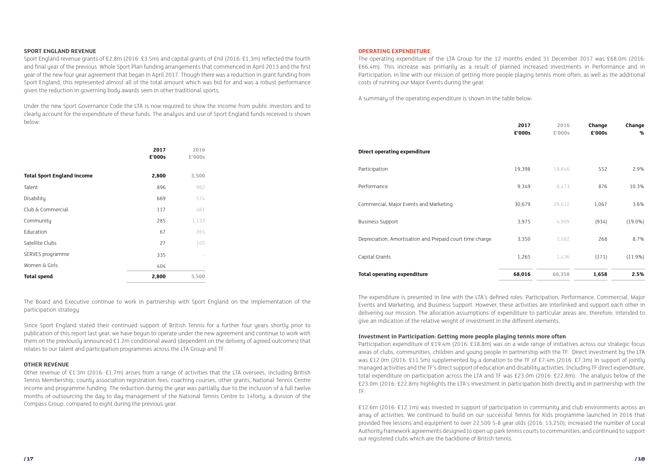The Board and Executive continue to work in partnership with Sport England on the implementation of the participation strategy.

Since Sport England stated their continued support of British Tennis for a further four years shortly prior to publication of this report last year, we have begun to operate under the new agreement and continue to work with them on the previously announced £1.2m conditional award (dependent on the delivery of agreed outcomes) that relates to our talent and participation programmes across the LTA Group and TF.

#### **OTHER REVENUE**

Other revenue of £1.3m (2016: £1.7m) arises from a range of activities that the LTA oversees, including British Tennis Membership, county association registration fees, coaching courses, other grants, National Tennis Centre income and programme funding. The reduction during the year was partially due to the inclusion of a full twelve months of outsourcing the day to day management of the National Tennis Centre to 14forty, a division of the Compass Group, compared to eight during the previous year.

#### **SPORT ENGLAND REVENUE**

Sport England revenue grants of £2.8m (2016: £3.5m) and capital grants of £nil (2016: £1.3m) reflected the fourth and final year of the previous Whole Sport Plan funding arrangements that commenced in April 2013 and the first year of the new four year agreement that began in April 2017. Though there was a reduction in grant funding from Sport England, this represented almost all of the total amount which was bid for and was a robust performance given the reduction in governing body awards seen in other traditional sports.

Under the new Sport Governance Code the LTA is now required to show the income from public investors and to clearly account for the expenditure of these funds. The analysis and use of Sport England funds received is shown below:

|                                   | 2017<br>£'000s | 2016<br>£'000s | Direct operating expenditure                             |        |        |       |            |
|-----------------------------------|----------------|----------------|----------------------------------------------------------|--------|--------|-------|------------|
| <b>Total Sport England income</b> | 2,800          | 3,500          | Participation                                            | 19,398 | 18,846 | 552   | 2.9%       |
| Talent                            | 896            | 962            | Performance                                              | 9,349  | 8,473  | 876   | 10.3%      |
| Disability                        | 669            | 574            |                                                          |        |        |       | 3.6%       |
| Club & Commercial                 | 117            | 461            | Commercial, Major Events and Marketing                   | 30,679 | 29,612 | 1,067 |            |
| Community                         | 285            | 1,133          | <b>Business Support</b>                                  | 3,975  | 4,909  | (934) | $(19.0\%)$ |
| Education                         | 67             | 265            |                                                          |        |        |       |            |
| Satellite Clubs                   | 27             | 105            | Depreciation, Amortisation and Prepaid court time charge | 3,350  | 3,082  | 268   | 8.7%       |
| SERVES programme                  | 335            |                | Capital Grants                                           | 1,265  | 1,436  | (171) | $(11.9\%)$ |
| Women & Girls                     | 404            |                |                                                          |        |        |       |            |
| <b>Total spend</b>                | 2,800          | 3,500          | <b>Total operating expenditure</b>                       | 68,016 | 66,358 | 1,658 | 2.5%       |
|                                   |                |                |                                                          |        |        |       |            |

|  |  |  | <b>OPERATING EXPENDITURE</b> |
|--|--|--|------------------------------|
|  |  |  |                              |

The operating expenditure of the LTA Group for the 12 months ended 31 December 2017 was £68.0m (2016: £66.4m). This increase was primarily as a result of planned increased investments in Performance and in Participation, in line with our mission of getting more people playing tennis more often, as well as the additional costs of running our Major Events during the year.

A summary of the operating expenditure is shown in the table below:

| 2017<br>£'000s | 2016<br>£'000s | Change<br>£'000s | Change<br>% |
|----------------|----------------|------------------|-------------|
|                |                |                  |             |
| 19,398         | 18,846         | 552              | 2.9%        |
| 9,349          | 8,473          | 876              | 10.3%       |
| 30,679         | 29,612         | 1,067            | 3.6%        |
| 3,975          | 4,909          | (934)            | $(19.0\%)$  |
| 3,350          | 3,082          | 268              | 8.7%        |
| 1,265          | 1,436          | (171)            | $(11.9\%)$  |
| 68,016         | 66,358         | 1,658            | 2.5%        |

The expenditure is presented in line with the LTA's defined roles: Participation, Performance, Commercial, Major Events and Marketing, and Business Support. However, these activities are interlinked and support each other in delivering our mission. The allocation assumptions of expenditure to particular areas are, therefore, intended to give an indication of the relative weight of investment in the different elements.

#### **Investment in Participation: Getting more people playing tennis more often**

Participation expenditure of £19.4m (2016: £18.8m) was on a wide range of initiatives across our strategic focus areas of clubs, communities, children and young people in partnership with the TF. Direct investment by the LTA was £12.0m (2016: £11.5m) supplemented by a donation to the TF of £7.4m (2016: £7.3m) in support of jointly managed activities and the TF's direct support of education and disability activities. Including TF direct expenditure, total expenditure on participation across the LTA and TF was £23.0m (2016: £22.8m). The analysis below of the £23.0m (2016: £22.8m) highlights the LTA's investment in participation both directly and in partnership with the TF.

£12.6m (2016: £12.1m) was invested in support of participation in community and club environments across an array of activities. We continued to build on our successful Tennis for Kids programme launched in 2016 that provided free lessons and equipment to over 22,500 5-8 year olds (2016: 13,250); increased the number of Local Authority framework agreements designed to open up park tennis courts to communities; and continued to support our registered clubs which are the backbone of British tennis.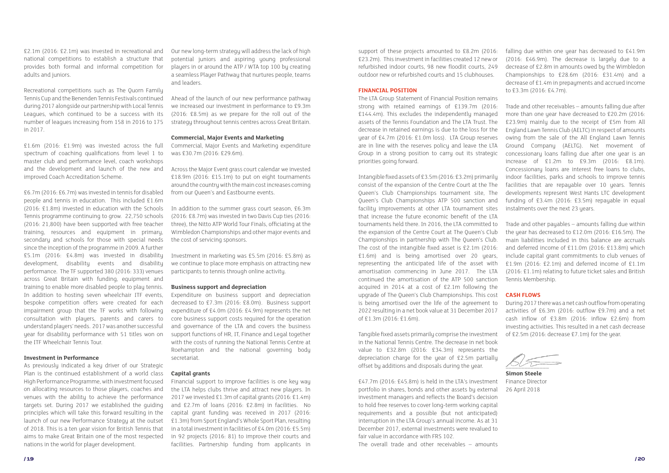£2.1m (2016: £2.1m) was invested in recreational and national competitions to establish a structure that provides both formal and informal competition for adults and juniors.

Recreational competitions such as The Quorn Family Tennis Cup and the Benenden Tennis Festivals continued during 2017 alongside our partnership with Local Tennis Leagues, which continued to be a success with its number of leagues increasing from 158 in 2016 to 175 in 2017.

£1.6m (2016: £1.9m) was invested across the full spectrum of coaching qualifications from level 1 to master club and performance level, coach workshops and the development and launch of the new and improved Coach Accreditation Scheme.

£6.7m (2016: £6.7m) was invested in tennis for disabled people and tennis in education. This included £1.6m (2016: £1.8m) invested in education with the Schools Tennis programme continuing to grow. 22,750 schools (2016: 21,800) have been supported with free teacher training, resources and equipment in primary, secondary and schools for those with special needs since the inception of the programme in 2009. A further £5.1m (2016: £4.8m) was invested in disability development, disability events and disability performance. The TF supported 380 (2016: 333) venues across Great Britain with funding, equipment and training to enable more disabled people to play tennis. In addition to hosting seven wheelchair ITF events, bespoke competition offers were created for each impairment group that the TF works with following consultation with players, parents and carers to understand players' needs. 2017 was another successful year for disability performance with 51 titles won on the ITF Wheelchair Tennis Tour.

#### **Investment in Performance**

As previously indicated a key driver of our Strategic Plan is the continued establishment of a world class High Performance Programme, with investment focused on allocating resources to those players, coaches and venues with the ability to achieve the performance targets set. During 2017 we established the guiding principles which will take this forward resulting in the launch of our new Performance Strategy at the outset of 2018. This is a ten year vision for British Tennis that aims to make Great Britain one of the most respected nations in the world for player development.

Our new long-term strategy will address the lack of high potential juniors and aspiring young professional players in or around the ATP / WTA top 100 by creating a seamless Player Pathway that nurtures people, teams and leaders.

Ahead of the launch of our new performance pathway we increased our investment in performance to £9.3m (2016: £8.5m) as we prepare for the roll out of the strategy throughout tennis centres across Great Britain.

#### **Commercial, Major Events and Marketing**

Commercial, Major Events and Marketing expenditure was £30.7m (2016: £29.6m).

Across the Major Event grass court calendar we invested £18.9m (2016: £15.1m) to put on eight tournaments around the country with the main cost increases coming from our Queen's and Eastbourne events.

In addition to the summer grass court season, £6.3m (2016: £8.7m) was invested in two Davis Cup ties (2016: three), the Nitto ATP World Tour Finals, officiating at the Wimbledon Championships and other major events and the cost of servicing sponsors.

Investment in marketing was £5.5m (2016: £5.8m) as we continue to place more emphasis on attracting new participants to tennis through online activity.

#### **Business support and depreciation**

Trade and other receivables – amounts falling due after more than one year have decreased to £20.2m (2016: £23.9m) mainly due to the receipt of £5m from All England Lawn Tennis Club (AELTC) in respect of amounts owing from the sale of the All England Lawn Tennis Ground Company (AELTG). Net movement of concessionary loans falling due after one year is an increase of £1.2m to £9.3m (2016: £8.1m). Concessionary loans are interest free loans to clubs, indoor facilities, parks and schools to improve tennis facilities that are repayable over 10 years. Tennis developments represent West Hants LTC development funding of £3.4m (2016: £3.5m) repayable in equal instalments over the next 23 years.

Expenditure on business support and depreciation decreased to £7.3m (2016: £8.0m). Business support expenditure of £4.0m (2016: £4.9m) represents the net core business support costs required for the operation and governance of the LTA and covers the business support functions of HR, IT, Finance and Legal together with the costs of running the National Tennis Centre at Roehampton and the national governing body secretariat.

#### **Capital grants**

Financial support to improve facilities is one key way the LTA helps clubs thrive and attract new players. In 2017 we invested £1.3m of capital grants (2016: £1.4m) and £2.7m of loans (2016: £2.8m) in facilities. No capital grant funding was received in 2017 (2016: £1.3m) from Sport England's Whole Sport Plan, resulting in a total investment in facilities of £4.0m (2016: £5.5m) in 92 projects (2016: 81) to improve their courts and facilities. Partnership funding from applicants in support of these projects amounted to £8.2m (2016: £23.2m). This investment in facilities created 12 new or refurbished indoor courts, 98 new floodlit courts, 249 outdoor new or refurbished courts and 15 clubhouses.

#### **FINANCIAL POSITION**

The LTA Group Statement of Financial Position remains strong with retained earnings of £139.7m (2016: £144.4m). This excludes the independently managed assets of the Tennis Foundation and The LTA Trust. The decrease in retained earnings is due to the loss for the year of £4.7m (2016: £1.0m loss). LTA Group reserves are in line with the reserves policy and leave the LTA Group in a strong position to carry out its strategic priorities going forward.

Intangible fixed assets of £3.5m (2016: £3.2m) primarily consist of the expansion of the Centre Court at the The Queen's Club Championships tournament site, The Queen's Club Championships ATP 500 sanction and facility improvements at other LTA tournament sites that increase the future economic benefit of the LTA tournaments held there. In 2016, the LTA committed to the expansion of the Centre Court at The Queen's Club Championships in partnership with The Queen's Club. The cost of the intangible fixed asset is £2.1m (2016: £1.6m) and is being amortised over 20 years. representing the anticipated life of the asset with amortisation commencing in June 2017. The LTA continued the amortisation of the ATP 500 sanction acquired in 2014 at a cost of £2.1m following the upgrade of The Queen's Club Championships. This cost is being amortised over the life of the agreement to 2022 resulting in a net book value at 31 December 2017 of £1.3m (2016: £1.6m).

Tangible fixed assets primarily comprise the investment in the National Tennis Centre. The decrease in net book value to £32.8m (2016: £34.3m) represents the depreciation charge for the year of £2.5m partially offset by additions and disposals during the year.

£47.7m (2016: £45.8m) is held in the LTA's investment portfolio in shares, bonds and other assets by external investment managers and reflects the Board's decision to hold free reserves to cover long-term working capital requirements and a possible (but not anticipated) interruption in the LTA Group's annual income. As at 31 December 2017, external investments were revalued to fair value in accordance with FRS 102.

The overall trade and other receivables – amounts

falling due within one year has decreased to £41.9m (2016: £46.9m). The decrease is largely due to a decrease of £2.8m in amounts owed by the Wimbledon Championships to £28.6m (2016: £31.4m) and a decrease of £1.4m in prepayments and accrued income to £3.3m (2016: £4.7m).

Trade and other payables – amounts falling due within the year has decreased to £12.0m (2016: £16.5m). The main liabilities included in this balance are accruals and deferred income of £11.0m (2016: £13.8m) which include capital grant commitments to club venues of £1.9m (2016: £2.1m) and deferred income of £1.1m (2016: £1.1m) relating to future ticket sales and British Tennis Membership.

#### **CASH FLOWS**

During 2017 there was a net cash outflow from operating activities of £6.3m (2016: outflow £9.7m) and a net cash inflow of £3.8m (2016: inflow £2.6m) from investing activities. This resulted in a net cash decrease of £2.5m (2016: decrease £7.1m) for the year.

 $\sim$ 

**Simon Steele** Finance Director 26 April 2018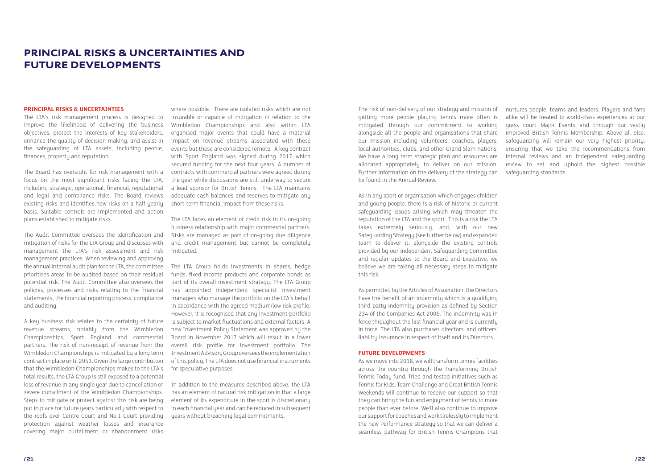#### PRINCIPAL RISKS & UNCERTAINTIES AND FUTURE DEVELOPMENTS

#### **PRINCIPAL RISKS & UNCERTAINTIES**

The LTA's risk management process is designed to improve the likelihood of delivering the business objectives, protect the interests of key stakeholders, enhance the quality of decision making, and assist in the safeguarding of LTA assets, including people, finances, property and reputation.

The Board has oversight for risk management with a focus on the most significant risks facing the LTA, including strategic, operational, financial, reputational and legal and compliance risks. The Board reviews existing risks and identifies new risks on a half yearly basis. Suitable controls are implemented and action plans established to mitigate risks.

The Audit Committee oversees the identification and mitigation of risks for the LTA Group and discusses with management the LTA's risk assessment and risk management practices. When reviewing and approving the annual internal audit plan for the LTA, the committee prioritises areas to be audited based on their residual potential risk. The Audit Committee also oversees the policies, processes and risks relating to the financial statements, the financial reporting process, compliance and auditing.

A key business risk relates to the certainty of future revenue streams, notably from the Wimbledon Championships, Sport England and commercial partners. The risk of non-receipt of revenue from the Wimbledon Championships is mitigated by a long term contract in place until 2053. Given the large contribution that the Wimbledon Championships makes to the LTA's total results, the LTA Group is still exposed to a potential loss of revenue in any single year due to cancellation or severe curtailment of the Wimbledon Championships. Steps to mitigate or protect against this risk are being put in place for future years particularly with respect to the roofs over Centre Court and No.1 Court providing protection against weather losses and insurance covering major curtailment or abandonment risks

where possible. There are isolated risks which are not insurable or capable of mitigation in relation to the Wimbledon Championships and also within LTA organised major events that could have a material impact on revenue streams associated with these events but these are considered remote. A key contract with Sport England was signed during 2017 which secured funding for the next four years. A number of contracts with commercial partners were agreed during the year while discussions are still underway to secure a lead sponsor for British Tennis. The LTA maintains adequate cash balances and reserves to mitigate any short-term financial impact from these risks.

The LTA faces an element of credit risk in its on-going business relationship with major commercial partners. Risks are managed as part of on-going due diligence and credit management but cannot be completely mitigated.

The LTA Group holds investments in shares, hedge funds, fixed income products and corporate bonds as part of its overall investment strategy. The LTA Group has appointed independent specialist investment managers who manage the portfolio on the LTA's behalf in accordance with the agreed medium/low risk profile. However, it is recognised that any investment portfolio is subject to market fluctuations and external factors. A new Investment Policy Statement was approved by the Board in November 2017 which will result in a lower overall risk profile for investment portfolio. The Investment Advisory Group oversees the implementation of this policy. The LTA does not use financial instruments for speculative purposes.

In addition to the measures described above, the LTA has an element of natural risk mitigation in that a large element of its expenditure in the sport is discretionary in each financial year and can be reduced in subsequent years without breaching legal commitments.

The risk of non-delivery of our strategy and mission of getting more people playing tennis more often is mitigated through our commitment to working alongside all the people and organisations that share our mission including volunteers, coaches, players, local authorities, clubs, and other Grand Slam nations. We have a long term strategic plan and resources are allocated appropriately to deliver on our mission. Further information on the delivery of the strategy can be found in the Annual Review.

As in any sport or organisation which engages children and young people, there is a risk of historic or current safeguarding issues arising which may threaten the reputation of the LTA and the sport. This is a risk the LTA takes extremely seriously, and, with our new Safeguarding Strategy (see further below) and expanded team to deliver it, alongside the existing controls provided by our independent Safeguarding Committee and regular updates to the Board and Executive, we believe we are taking all necessary steps to mitigate this risk.

As permitted by the Articles of Association, the Directors have the benefit of an indemnity which is a qualifying third party indemnity provision as defined by Section 234 of the Companies Act 2006. The indemnity was in force throughout the last financial year and is currently in force. The LTA also purchases directors' and officers' liability insurance in respect of itself and its Directors.

#### **FUTURE DEVELOPMENTS**

As we move into 2018, we will transform tennis facilities across the country through the Transforming British Tennis Today fund. Tried and tested initiatives such as Tennis for Kids, Team Challenge and Great British Tennis Weekends will continue to receive our support so that they can bring the fun and enjoyment of tennis to more people than ever before. We'll also continue to improve our support for coaches and work tirelessly to implement the new Performance strategy so that we can deliver a seamless pathway for British Tennis Champions that nurtures people, teams and leaders. Players and fans alike will be treated to world-class experiences at our grass court Major Events and through our vastly improved British Tennis Membership. Above all else, safeguarding will remain our very highest priority, ensuring that we take the recommendations from internal reviews and an independent safeguarding review to set and uphold the highest possible safeguarding standards.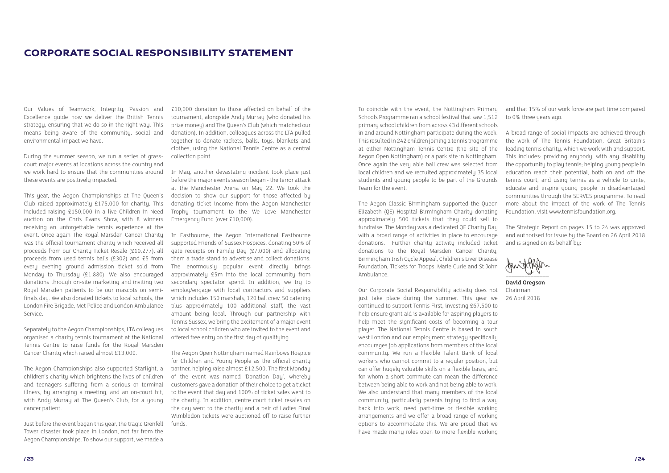#### CORPORATE SOCIAL RESPONSIBILITY STATEMENT

During the summer season, we run a series of grasscourt major events at locations across the country and we work hard to ensure that the communities around these events are positively impacted.

Our Values of Teamwork, Integrity, Passion and Excellence guide how we deliver the British Tennis strategy, ensuring that we do so in the right way. This means being aware of the community, social and environmental impact we have.

Separately to the Aegon Championships, LTA colleagues organised a charity tennis tournament at the National Tennis Centre to raise funds for the Royal Marsden Cancer Charity which raised almost £13,000.

This year, the Aegon Championships at The Queen's Club raised approximately £175,000 for charity. This included raising £150,000 in a live Children in Need auction on the Chris Evans Show, with 8 winners receiving an unforgettable tennis experience at the event. Once again The Royal Marsden Cancer Charity was the official tournament charity which received all proceeds from our Charity Ticket Resale (£10,277), all proceeds from used tennis balls (£302) and £5 from every evening ground admission ticket sold from Monday to Thursday (£1,880). We also encouraged donations through on-site marketing and inviting two Royal Marsden patients to be our mascots on semifinals day. We also donated tickets to local schools, the London Fire Brigade, Met Police and London Ambulance Service.

Just before the event began this year, the tragic Grenfell Tower disaster took place in London, not far from the Aegon Championships. To show our support, we made a

The Aegon Championships also supported Starlight, a children's charity which brightens the lives of children and teenagers suffering from a serious or terminal illness, by arranging a meeting, and an on-court hit, with Andu Murrau at The Oueen's Club, for a young cancer patient.

£10,000 donation to those affected on behalf of the tournament, alongside Andy Murray (who donated his prize money) and The Queen's Club (which matched our donation). In addition, colleagues across the LTA pulled together to donate rackets, balls, toys, blankets and clothes, using the National Tennis Centre as a central collection point.

In May, another devastating incident took place just before the major events season began - the terror attack at the Manchester Arena on May 22. We took the decision to show our support for those affected by donating ticket income from the Aegon Manchester Trophy tournament to the We Love Manchester Emergency Fund (over £10,000).

In Eastbourne, the Aegon International Eastbourne supported Friends of Sussex Hospices, donating 50% of gate receipts on Family Day (£7,000) and allocating them a trade stand to advertise and collect donations. The enormously popular event directly brings approximately £5m into the local community from secondary spectator spend. In addition, we tru to employ/engage with local contractors and suppliers which includes 150 marshals, 120 ball crew, 50 catering plus approximately 100 additional staff, the vast amount being local. Through our partnership with Tennis Sussex, we bring the excitement of a major event to local school children who are invited to the event and offered free entry on the first day of qualifying.

The Aegon Open Nottingham named Rainbows Hospice for Children and Young People as the official charity partner, helping raise almost £12,500. The first Monday of the event was named 'Donation Day', whereby customers gave a donation of their choice to get a ticket to the event that day and 100% of ticket sales went to the charity. In addition, centre court ticket resales on the day went to the charity and a pair of Ladies Final Wimbledon tickets were auctioned off to raise further funds.

To coincide with the event, the Nottingham Primary Schools Programme ran a school festival that saw 1,512 primary school children from across 43 different schools in and around Nottingham participate during the week. This resulted in 242 children joining a tennis programme at either Nottingham Tennis Centre (the site of the Aegon Open Nottingham) or a park site in Nottingham. Once again the very able ball crew was selected from local children and we recruited approximately 35 local students and young people to be part of the Grounds Team for the event.

The Aegon Classic Birmingham supported the Queen Elizabeth (QE) Hospital Birmingham Charity donating approximately 500 tickets that they could sell to fundraise. The Monday was a dedicated QE Charity Day with a broad range of activities in place to encourage donations. Further charity activity included ticket donations to the Royal Marsden Cancer Charity, Birmingham Irish Cycle Appeal, Children's Liver Disease Foundation, Tickets for Troops, Marie Curie and St John Ambulance.

Our Corporate Social Responsibility activity does not just take place during the summer. This year we continued to support Tennis First, investing £67,500 to help ensure grant aid is available for aspiring players to help meet the significant costs of becoming a tour player. The National Tennis Centre is based in south west London and our employment strategy specifically encourages job applications from members of the local community. We run a Flexible Talent Bank of local workers who cannot commit to a regular position, but can offer hugely valuable skills on a flexible basis, and for whom a short commute can mean the difference between being able to work and not being able to work. We also understand that many members of the local community, particularly parents trying to find a way back into work, need part-time or flexible working arrangements and we offer a broad range of working options to accommodate this. We are proud that we have made many roles open to more flexible working

and that 15% of our work force are part time compared to 0% three years ago.

A broad range of social impacts are achieved through the work of The Tennis Foundation, Great Britain's leading tennis charity, which we work with and support. This includes: providing anybody, with any disability the opportunity to play tennis; helping young people in education reach their potential, both on and off the tennis court; and using tennis as a vehicle to unite, educate and inspire young people in disadvantaged communities through the SERVES programme. To read more about the impact of the work of The Tennis Foundation, visit www.tennisfoundation.org.

The Strategic Report on pages 15 to 24 was approved and authorised for issue by the Board on 26 April 2018 and is signed on its behalf by:

 $\sim$   $\sim$   $\sim$   $\sim$ 

**David Gregson** Chairman 26 April 2018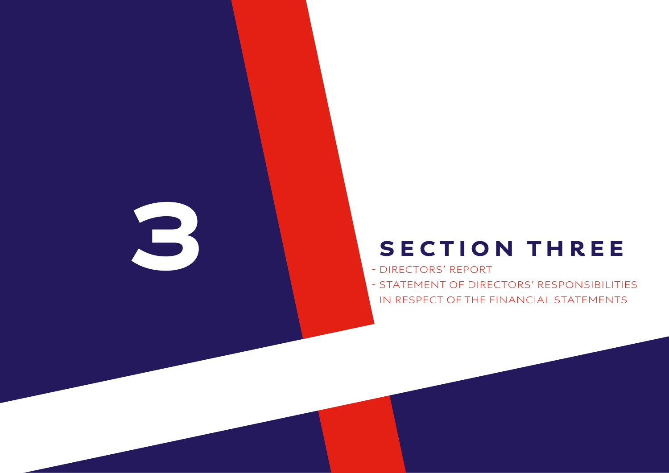## SECTION THREE

 - DIRECTORS' REPORT - STATEMENT OF DIRECTORS' RESPONSIBILITIES IN RESPECT OF THE FINANCIAL STATEMENTS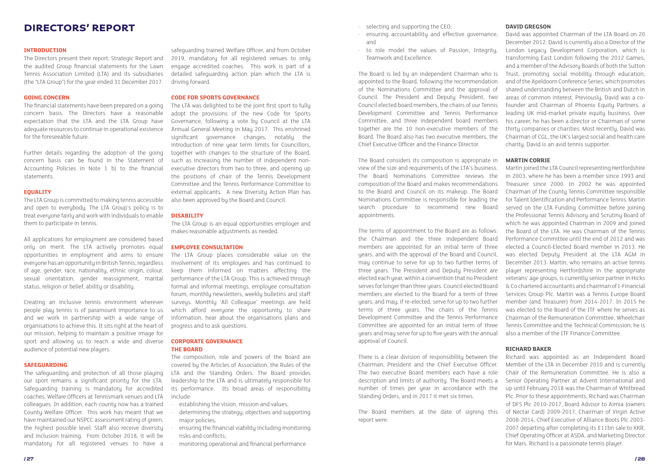#### **INTRODUCTION**

The Directors present their report, Strategic Report and the audited Group financial statements for the Lawn Tennis Association Limited (LTA) and its subsidiaries (the "LTA Group") for the year ended 31 December 2017.

#### **GOING CONCERN**

The financial statements have been prepared on a going concern basis. The Directors have a reasonable expectation that the LTA and the LTA Group have adequate resources to continue in operational existence for the foreseeable future.

Further details regarding the adoption of the going concern basis can be found in the Statement of Accounting Policies in Note 1 b) to the financial statements.

#### **EQUALITY**

The LTA Group is committed to making tennis accessible and open to everybody. The LTA Group's policy is to treat everyone fairly and work with individuals to enable them to participate in tennis.

All applications for employment are considered based only on merit. The LTA actively promotes equal opportunities in employment and aims to ensure everyone has an opportunity in British Tennis, regardless of age, gender, race, nationality, ethnic origin, colour, sexual orientation, gender reassignment, marital status, religion or belief, ability or disability.

Creating an inclusive tennis environment wherever people play tennis is of paramount importance to us and we work in partnership with a wide range of organisations to achieve this. It sits right at the heart of our mission, helping to maintain a positive image for sport and allowing us to reach a wide and diverse audience of potential new players.

#### **SAFEGUARDING**

The safeguarding and protection of all those playing our sport remains a significant priority for the LTA. Safeguarding training is mandatory for accredited coaches, Welfare Officers at Tennismark venues and LTA colleagues. In addition, each county now has a trained County Welfare Officer. This work has meant that we have maintained our NSPCC assessment rating of green, the highest possible level. Staff also receive diversity and inclusion training. From October 2018, it will be mandatory for all registered venues to have a

- selecting and supporting the CEO;
- · ensuring accountability and effective governance; and
- to role model the values of Passion, Integrity, Teamwork and Excellence.

safeguarding trained Welfare Officer, and from October 2019, mandatory for all registered venues to only engage accredited coaches. This work is part of a detailed safeguarding action plan which the LTA is driving forward.

#### **CODE FOR SPORTS GOVERNANCE**

The LTA was delighted to be the joint first sport to fully adopt the provisions of the new Code for Sports Governance, following a vote by Council at the LTA Annual General Meeting in May 2017. This enshrined significant governance changes, notably the introduction of nine year term limits for Councillors, together with changes to the structure of the Board, such as increasing the number of independent nonexecutive directors from two to three, and opening up the positions of chair of the Tennis Development Committee and the Tennis Performance Committee to external applicants. A new Diversity Action Plan has also been approved by the Board and Council.

#### **DISABILITY**

The LTA Group is an equal opportunities employer and makes reasonable adjustments as needed.

#### **EMPLOYEE CONSULTATION**

The LTA Group places considerable value on the involvement of its employees and has continued to keep them informed on matters affecting the performance of the LTA Group. This is achieved through formal and informal meetings, employee consultation forum, monthly newsletters, weekly bulletins and staff surveys. Monthly 'All Colleague' meetings are held which afford everyone the opportunity to share information, hear about the organisations plans and progress and to ask questions.

#### **CORPORATE GOVERNANCE THE BOARD**

The composition, role and powers of the Board are covered by the Articles of Association, the Rules of the LTA and the Standing Orders. The Board provides leadership to the LTA and is ultimately responsible for its performance. Its broad areas of responsibility include:

- · establishing the vision, mission and values;
- determining the strategy, objectives and supporting major policies;
- · ensuring the financial viability including monitoring risks and conflicts;
- · monitoring operational and financial performance

The Board is led by an independent Chairman who is appointed to the Board, following the recommendation of the Nominations Committee and the approval of Council. The President and Deputy President, two Council elected board members, the chairs of our Tennis Development Committee and Tennis Performance Committee, and three independent board members together are the 10 non-executive members of the Board. The Board also has two executive members, the Chief Executive Officer and the Finance Director.

The Board considers its composition is appropriate in view of the size and requirements of the LTA's business. The Board Nominations Committee reviews the composition of the Board and makes recommendations to the Board and Council on its makeup. The Board Nominations Committee is responsible for leading the search procedure to recommend new Board appointments.

The terms of appointment to the Board are as follows: the Chairman and the three independent Board members are appointed for an initial term of three years, and with the approval of the Board and Council, may continue to serve for up to two further terms of three years. The President and Deputy President are elected each year, within a convention that no President serves for longer than three years. Council elected Board members are elected to the Board for a term of three years, and may, if re-elected, serve for up to two further terms of three years. The chairs of the Tennis Development Committee and the Tennis Performance Committee are appointed for an initial term of three years and may serve for up to five years with the annual approval of Council.

There is a clear division of responsibility between the Chairman, President and the Chief Executive Officer. The two executive Board members each have a role description and limits of authority. The Board meets a number of times per year in accordance with the Standing Orders, and in 2017 it met six times. The Board members at the date of signing this report were:

#### **DAVID GREGSON**

David was appointed Chairman of the LTA Board on 20 December 2012. David is currently also a Director of the London Legacy Development Corporation, which is transforming East London following the 2012 Games, and a member of the Advisory Boards of both the Sutton Trust, promoting social mobility through education, and of the Apeldoorn Conference Series, which promotes shared understanding between the British and Dutch in areas of common interest. Previously, David was a cofounder and Chairman of Phoenix Equity Partners, a leading UK mid-market private equity business. Over his career, he has been a director or Chairman of some thirty companies or charities. Most recently, David was Chairman of CGL, the UK's largest social and health care charity. David is an avid tennis supporter.

#### **MARTIN CORRIE**

Martin joined the LTA Council representing Hertfordshire in 2003, where he has been a member since 1993 and Treasurer since 2000. In 2002 he was appointed Chairman of the County Tennis Committee responsible for Talent Identification and Performance Tennis. Martin served on the LTA Funding Committee before joining the Professional Tennis Advisory and Scrutiny Board of which he was appointed Chairman in 2009 and joined the Board of the LTA. He was Chairman of the Tennis Performance Committee until the end of 2012 and was elected a Council-Elected Board member in 2013. He was elected Deputy President at the LTA AGM in December 2013. Martin, who remains an active tennis player representing Hertfordshire in the appropriate veterans' age groups, is currently senior partner in Hicks & Co chartered accountants and chairman of I-Financial Services Group Plc. Martin was a Tennis Europe Board member (and Treasurer) from 2014-2017. In 2015 he was elected to the Board of the ITF where he serves as Chairman of the Remuneration Committee, Wheelchair Tennis Committee and the Technical Commission; he is also a member of the ITF Finance Committee.

#### **RICHARD BAKER**

Richard was appointed as an Independent Board Member of the LTA in December 2010 and is currently Chair of the Remuneration Committee. He is also a Senior Operating Partner at Advent International and up until February 2018 was the Chairman of Whitbread Plc. Prior to these appointments, Richard was Chairman of DFS Plc 2010-2017, Board Advisor to Aimia (owners of Nectar Card) 2009-2017, Chairman of Virgin Active 2008-2014, Chief Executive of Alliance Boots Plc 2003- 2007 departing after completing its £11bn sale to KKR, Chief Operating Officer at ASDA, and Marketing Director for Mars. Richard is a passionate tennis player.

#### DIRECTORS' REPORT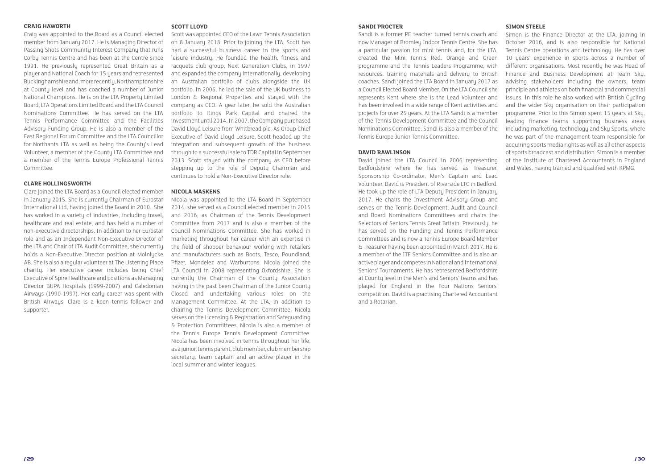#### **CRAIG HAWORTH**

Craig was appointed to the Board as a Council elected member from January 2017. He is Managing Director of Passing Shots Community Interest Company that runs Corby Tennis Centre and has been at the Centre since 1991. He previously represented Great Britain as a player and National Coach for 15 years and represented Buckinghamshire and, more recently, Northamptonshire at County level and has coached a number of Junior National Champions. He is on the LTA Property Limited Board, LTA Operations Limited Board and the LTA Council Nominations Committee. He has served on the LTA Tennis Performance Committee and the Facilities Advisory Funding Group. He is also a member of the East Regional Forum Committee and the LTA Councillor for Northants LTA as well as being the County's Lead Volunteer, a member of the County LTA Committee and a member of the Tennis Europe Professional Tennis Committee.

#### **CLARE HOLLINGSWORTH**

Clare joined the LTA Board as a Council elected member in January 2015. She is currently Chairman of Eurostar International Ltd, having joined the Board in 2010. She has worked in a variety of industries, including travel, healthcare and real estate, and has held a number of non-executive directorships. In addition to her Eurostar role and as an Independent Non-Executive Director of the LTA and Chair of LTA Audit Committee, she currently holds a Non-Executive Director position at Molnlycke AB. She is also a regular volunteer at The Listening Place charity. Her executive career includes being Chief Executive of Spire Healthcare and positions as Managing Director BUPA Hospitals (1999-2007) and Caledonian Airways (1990-1997). Her early career was spent with British Airways. Clare is a keen tennis follower and supporter.

#### **SCOTT LLOYD**

Scott was appointed CEO of the Lawn Tennis Association on 8 January 2018. Prior to joining the LTA, Scott has had a successful business career in the sports and leisure industry. He founded the health, fitness and racquets club group, Next Generation Clubs, in 1997 and expanded the company internationally, developing an Australian portfolio of clubs alongside the UK portfolio. In 2006, he led the sale of the UK business to London & Regional Properties and stayed with the company as CEO. A year later, he sold the Australian portfolio to Kings Park Capital and chaired the investment until 2014. In 2007, the Company purchased David Lloyd Leisure from Whitbread plc. As Group Chief Executive of David Lloyd Leisure, Scott headed up the integration and subsequent growth of the business through to a successful sale to TDR Capital in September 2013. Scott stayed with the company as CEO before stepping up to the role of Deputy Chairman and continues to hold a Non-Executive Director role.

#### **NICOLA MASKENS**

Nicola was appointed to the LTA Board in September 2014; she served as a Council elected member in 2015 and 2016, as Chairman of the Tennis Development Committee from 2017 and is also a member of the Council Nominations Committee. She has worked in marketing throughout her career with an expertise in the field of shopper behaviour working with retailers and manufacturers such as Boots, Tesco, Poundland, Pfizer, Mondelez and Warburtons. Nicola joined the LTA Council in 2008 representing Oxfordshire. She is currently the Chairman of the County Association having in the past been Chairman of the Junior County Closed and undertaking various roles on the Management Committee. At the LTA, in addition to chairing the Tennis Development Committee, Nicola serves on the Licensing & Registration and Safeguarding & Protection Committees. Nicola is also a member of the Tennis Europe Tennis Development Committee. Nicola has been involved in tennis throughout her life, as a junior, tennis parent, club member, club membership secretaru, team captain and an active player in the local summer and winter leagues.

#### **SANDI PROCTER**

Sandi is a former PE teacher turned tennis coach and now Manager of Bromley Indoor Tennis Centre. She has a particular passion for mini tennis and, for the LTA, created the Mini Tennis Red, Orange and Green programme and the Tennis Leaders Programme, with resources, training materials and delivery to British coaches. Sandi joined the LTA Board in January 2017 as a Council Elected Board Member. On the LTA Council she represents Kent where she is the Lead Volunteer and has been involved in a wide range of Kent activities and projects for over 25 years. At the LTA Sandi is a member of the Tennis Development Committee and the Council Nominations Committee. Sandi is also a member of the Tennis Europe Junior Tennis Committee.

#### **DAVID RAWLINSON**

David joined the LTA Council in 2006 representing Bedfordshire where he has served as Treasurer, Sponsorship Co-ordinator, Men's Captain and Lead Volunteer. David is President of Riverside LTC in Bedford. He took up the role of LTA Deputy President in January 2017. He chairs the Investment Advisory Group and serves on the Tennis Development, Audit and Council and Board Nominations Committees and chairs the Selectors of Seniors Tennis Great Britain. Previously, he has served on the Funding and Tennis Performance Committees and is now a Tennis Europe Board Member & Treasurer having been appointed in March 2017. He is a member of the ITF Seniors Committee and is also an active player and competes in National and International Seniors' Tournaments. He has represented Bedfordshire at County level in the Men's and Seniors' teams and has played for England in the Four Nations Seniors' competition. David is a practising Chartered Accountant and a Rotarian.

#### **SIMON STEELE**

Simon is the Finance Director at the LTA, joining in October 2016, and is also responsible for National Tennis Centre operations and technology. He has over 10 years' experience in sports across a number of different organisations. Most recently he was Head of Finance and Business Development at Team Sky, advising stakeholders including the owners, team principle and athletes on both financial and commercial issues. In this role he also worked with British Cucling and the wider Sky organisation on their participation programme. Prior to this Simon spent 15 years at Sky, leading finance teams supporting business areas including marketing, technology and Sky Sports, where he was part of the management team responsible for acquiring sports media rights as well as all other aspects of sports broadcast and distribution. Simon is a member of the Institute of Chartered Accountants in England and Wales, having trained and qualified with KPMG.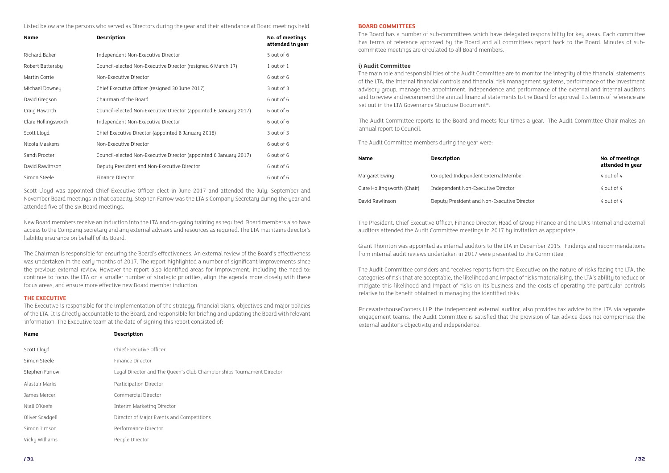Scott Lloyd was appointed Chief Executive Officer elect in June 2017 and attended the July, September and November Board meetings in that capacity. Stephen Farrow was the LTA's Company Secretary during the year and attended five of the six Board meetings.

New Board members receive an induction into the LTA and on-going training as required. Board members also have access to the Company Secretary and any external advisors and resources as required. The LTA maintains director's liability insurance on behalf of its Board.

The Chairman is responsible for ensuring the Board's effectiveness. An external review of the Board's effectiveness was undertaken in the early months of 2017. The report highlighted a number of significant improvements since the previous external review. However the report also identified areas for improvement, including the need to: continue to focus the LTA on a smaller number of strategic priorities; align the agenda more closely with these focus areas; and ensure more effective new Board member induction.

| <b>Name</b>         | <b>Description</b>                                                | No. of meetings<br>attended in year |
|---------------------|-------------------------------------------------------------------|-------------------------------------|
| Richard Baker       | Independent Non-Executive Director                                | 5 out of 6                          |
| Robert Battersby    | Council-elected Non-Executive Director (resigned 6 March 17)      | 1 out of $1$                        |
| Martin Corrie       | Non-Executive Director                                            | 6 out of 6                          |
| Michael Downey      | Chief Executive Officer (resigned 30 June 2017)                   | $3$ out of $3$                      |
| David Gregson       | Chairman of the Board                                             | 6 out of 6                          |
| Craig Haworth       | Council-elected Non-Executive Director (appointed 6 January 2017) | 6 out of 6                          |
| Clare Hollingsworth | Independent Non-Executive Director                                | 6 out of 6                          |
| Scott Lloyd         | Chief Executive Director (appointed 8 January 2018)               | 3 out of 3                          |
| Nicola Maskens      | Non-Executive Director                                            | 6 out of 6                          |
| Sandi Procter       | Council-elected Non-Executive Director (appointed 6 January 2017) | 6 out of 6                          |
| David Rawlinson     | Deputy President and Non-Executive Director                       | 6 out of 6                          |
| Simon Steele        | Finance Director                                                  | 6 out of 6                          |

| <b>Name</b>                 | <b>Description</b>                          | No. of meetings<br>attended in year |
|-----------------------------|---------------------------------------------|-------------------------------------|
| Margaret Ewing              | Co-opted Independent External Member        | $4$ out of $4$                      |
| Clare Hollingsworth (Chair) | Independent Non-Executive Director          | $4$ out of $4$                      |
| David Rawlinson             | Deputy President and Non-Executive Director | $4$ out of $4$                      |

| <b>Name</b>     | <b>Description</b>                                                    |
|-----------------|-----------------------------------------------------------------------|
| Scott Lloyd     | Chief Executive Officer                                               |
| Simon Steele    | Finance Director                                                      |
| Stephen Farrow  | Legal Director and The Queen's Club Championships Tournament Director |
| Alastair Marks  | Participation Director                                                |
| James Mercer    | Commercial Director                                                   |
| Niall O'Keefe   | Interim Marketing Director                                            |
| Oliver Scadgell | Director of Major Events and Competitions                             |
| Simon Timson    | Performance Director                                                  |
| Vicky Williams  | People Director                                                       |

The Audit Committee members during the year were:

#### **THE EXECUTIVE**

The Executive is responsible for the implementation of the strategy, financial plans, objectives and major policies of the LTA. It is directly accountable to the Board, and responsible for briefing and updating the Board with relevant information. The Executive team at the date of signing this report consisted of:

#### **BOARD COMMITTEES**

The Board has a number of sub-committees which have delegated responsibility for key areas. Each committee has terms of reference approved by the Board and all committees report back to the Board. Minutes of subcommittee meetings are circulated to all Board members.

#### **i) Audit Committee**

The main role and responsibilities of the Audit Committee are to monitor the integrity of the financial statements of the LTA, the internal financial controls and financial risk management systems, performance of the investment advisory group, manage the appointment, independence and performance of the external and internal auditors and to review and recommend the annual financial statements to the Board for approval. Its terms of reference are set out in the LTA Governance Structure Document\*.

The Audit Committee reports to the Board and meets four times a year. The Audit Committee Chair makes an annual report to Council.

Listed below are the persons who served as Directors during the year and their attendance at Board meetings held:

The President, Chief Executive Officer, Finance Director, Head of Group Finance and the LTA's internal and external auditors attended the Audit Committee meetings in 2017 by invitation as appropriate.

Grant Thornton was appointed as internal auditors to the LTA in December 2015. Findings and recommendations from internal audit reviews undertaken in 2017 were presented to the Committee.

The Audit Committee considers and receives reports from the Executive on the nature of risks facing the LTA, the categories of risk that are acceptable, the likelihood and impact of risks materialising, the LTA's ability to reduce or mitigate this likelihood and impact of risks on its business and the costs of operating the particular controls relative to the benefit obtained in managing the identified risks.

PricewaterhouseCoopers LLP, the independent external auditor, also provides tax advice to the LTA via separate engagement teams. The Audit Committee is satisfied that the provision of tax advice does not compromise the external auditor's objectivity and independence.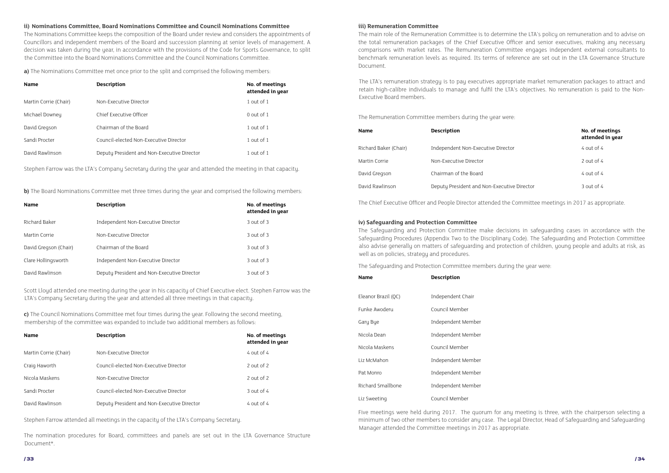Stephen Farrow was the LTA's Company Secretary during the year and attended the meeting in that capacity.

**b)** The Board Nominations Committee met three times during the year and comprised the following members:

Stephen Farrow attended all meetings in the capacity of the LTA's Company Secretary.

The nomination procedures for Board, committees and panels are set out in the LTA Governance Structure Document\*.

The Chief Executive Officer and People Director attended the Committee meetings in 2017 as appropriate.

Scott Lloyd attended one meeting during the year in his capacity of Chief Executive elect. Stephen Farrow was the LTA's Company Secretary during the year and attended all three meetings in that capacity.

**a)** The Nominations Committee met once prior to the split and comprised the following members:

**c)** The Council Nominations Committee met four times during the year. Following the second meeting, membership of the committee was expanded to include two additional members as follows:

The Remuneration Committee members during the year were:

#### **ii) Nominations Committee, Board Nominations Committee and Council Nominations Committee**

The Nominations Committee keeps the composition of the Board under review and considers the appointments of Councillors and independent members of the Board and succession planning at senior levels of management. A decision was taken during the year, in accordance with the provisions of the Code for Sports Governance, to split the Committee into the Board Nominations Committee and the Council Nominations Committee.

#### **iii) Remuneration Committee**

The main role of the Remuneration Committee is to determine the LTA's policy on remuneration and to advise on the total remuneration packages of the Chief Executive Officer and senior executives, making any necessary comparisons with market rates. The Remuneration Committee engages independent external consultants to benchmark remuneration levels as required. Its terms of reference are set out in the LTA Governance Structure Document.

The LTA's remuneration strategy is to pay executives appropriate market remuneration packages to attract and retain high-calibre individuals to manage and fulfil the LTA's objectives. No remuneration is paid to the Non-Executive Board members.

| <b>Name</b>           | <b>Description</b>                          | No. of meetings<br>attended in year |
|-----------------------|---------------------------------------------|-------------------------------------|
| Martin Corrie (Chair) | Non-Executive Director                      | 1 out of 1                          |
| Michael Downey        | Chief Executive Officer                     | $0$ out of 1                        |
| David Gregson         | Chairman of the Board                       | 1 out of $1$                        |
| Sandi Procter         | Council-elected Non-Executive Director      | 1 out of $1$                        |
| David Rawlinson       | Deputy President and Non-Executive Director | 1 out of $1$                        |

| <b>Name</b>           | <b>Description</b>                          | No. of meetings<br>attended in year |
|-----------------------|---------------------------------------------|-------------------------------------|
| Richard Baker         | Independent Non-Executive Director          | $3$ out of $3$                      |
| Martin Corrie         | Non-Executive Director                      | $3$ out of $3$                      |
| David Gregson (Chair) | Chairman of the Board                       | $3$ out of $3$                      |
| Clare Hollingsworth   | Independent Non-Executive Director          | $3$ out of $3$                      |
| David Rawlinson       | Deputy President and Non-Executive Director | 3 out of 3                          |

| <b>Name</b>           | <b>Description</b>                          | No. of meetings<br>attended in year |
|-----------------------|---------------------------------------------|-------------------------------------|
| Martin Corrie (Chair) | Non-Executive Director                      | $4$ out of $4$                      |
| Craig Haworth         | Council-elected Non-Executive Director      | 2 out of 2                          |
| Nicola Maskens        | Non-Executive Director                      | $2$ out of $2$                      |
| Sandi Procter         | Council-elected Non-Executive Director      | $3$ out of 4                        |
| David Rawlinson       | Deputy President and Non-Executive Director | $4$ out of $4$                      |

| <b>Name</b>           | <b>Description</b>                          | No. of meetings<br>attended in year |
|-----------------------|---------------------------------------------|-------------------------------------|
| Richard Baker (Chair) | Independent Non-Executive Director          | $4$ out of $4$                      |
| Martin Corrie         | Non-Executive Director                      | 2 out of $4$                        |
| David Gregson         | Chairman of the Board                       | $4$ out of $4$                      |
| David Rawlinson       | Deputy President and Non-Executive Director | $3$ out of 4                        |

| <b>Name</b>         | <b>Description</b> |
|---------------------|--------------------|
| Eleanor Brazil (QC) | Independent Chair  |
| Funke Awoderu       | Council Member     |
| Gary Bye            | Independent Member |
| Nicola Dean         | Independent Member |
| Nicola Maskens      | Council Member     |
| Liz McMahon         | Independent Member |
| Pat Monro           | Independent Member |
| Richard Smallbone   | Independent Member |
| Liz Sweeting        | Council Member     |

Five meetings were held during 2017. The quorum for any meeting is three, with the chairperson selecting a minimum of two other members to consider any case. The Legal Director, Head of Safeguarding and Safeguarding Manager attended the Committee meetings in 2017 as appropriate.

The Safeguarding and Protection Committee members during the year were:

#### **iv) Safeguarding and Protection Committee**

The Safeguarding and Protection Committee make decisions in safeguarding cases in accordance with the Safeguarding Procedures (Appendix Two to the Disciplinary Code). The Safeguarding and Protection Committee also advise generally on matters of safeguarding and protection of children, young people and adults at risk, as well as on policies, strategy and procedures.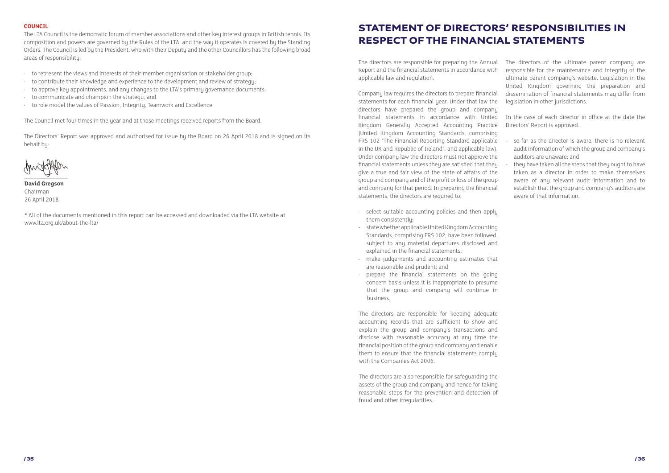#### **COUNCIL**

- · to represent the views and interests of their member organisation or stakeholder group;
- · to contribute their knowledge and experience to the development and review of strategy;
- · to approve key appointments, and any changes to the LTA's primary governance documents;
- · to communicate and champion the strategy; and
- to role model the values of Passion, Integrity, Teamwork and Excellence.

The LTA Council is the democratic forum of member associations and other key interest groups in British tennis. Its composition and powers are governed by the Rules of the LTA, and the way it operates is covered by the Standing Orders. The Council is led by the President, who with their Deputy and the other Councillors has the following broad areas of responsibility:

The Council met four times in the year and at those meetings received reports from the Board.

The Directors' Report was approved and authorised for issue by the Board on 26 April 2018 and is signed on its behalf by:

 $\overrightarrow{a}$ 

**David Gregson** Chairman 26 April 2018

\* All of the documents mentioned in this report can be accessed and downloaded via the LTA website at www.lta.org.uk/about-the-lta/

- so far as the director is aware, there is no relevant audit information of which the group and company's
- they have taken all the steps that they ought to have taken as a director in order to make themselves aware of any relevant audit information and to establish that the group and company's auditors are

The directors are responsible for preparing the Annual Report and the financial statements in accordance with applicable law and regulation. The directors of the ultimate parent company are responsible for the maintenance and integrity of the ultimate parent company's website. Legislation in the United Kingdom governing the preparation and dissemination of financial statements may differ from legislation in other jurisdictions.

- select suitable accounting policies and then apply them consistently;
- state whether applicable United Kingdom Accounting Standards, comprising FRS 102, have been followed, subject to any material departures disclosed and explained in the financial statements;
- make judgements and accounting estimates that are reasonable and prudent; and
- prepare the financial statements on the going concern basis unless it is inappropriate to presume that the group and company will continue in business.

Company law requires the directors to prepare financial statements for each financial year. Under that law the directors have prepared the group and company financial statements in accordance with United Kingdom Generally Accepted Accounting Practice (United Kingdom Accounting Standards, comprising FRS 102 "The Financial Reporting Standard applicable in the UK and Republic of Ireland", and applicable law). Under company law the directors must not approve the financial statements unless they are satisfied that they give a true and fair view of the state of affairs of the group and company and of the profit or loss of the group and company for that period. In preparing the financial statements, the directors are required to: In the case of each director in office at the date the Directors' Report is approved: auditors are unaware; and aware of that information.

The directors are responsible for keeping adequate accounting records that are sufficient to show and explain the group and company's transactions and disclose with reasonable accuracy at any time the financial position of the group and company and enable them to ensure that the financial statements comply with the Companies Act 2006.

The directors are also responsible for safeguarding the assets of the group and company and hence for taking reasonable steps for the prevention and detection of fraud and other irregularities.

#### STATEMENT OF DIRECTORS' RESPONSIBILITIES IN RESPECT OF THE FINANCIAL STATEMENTS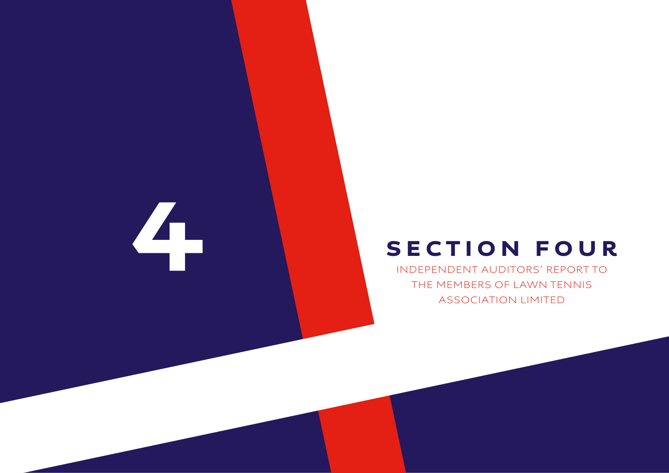## SECTION FOUR INDEPENDENT AUDITORS' REPORT TO THE MEMBERS OF LAWN TENNIS ASSOCIATION LIMITED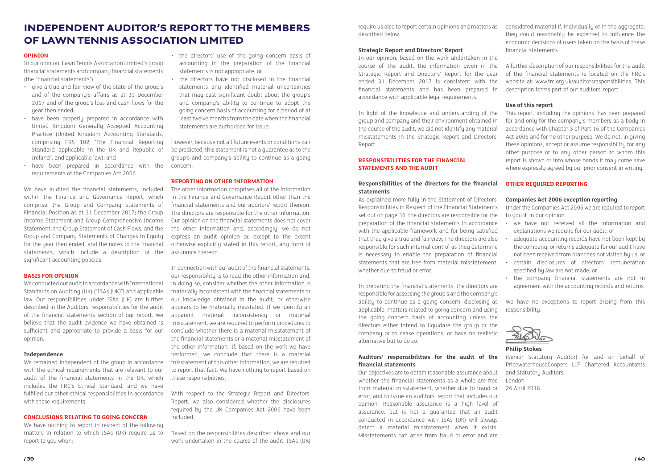#### INDEPENDENT AUDITOR'S REPORT TO THE MEMBERS OF LAWN TENNIS ASSOCIATION LIMITED

#### **OPINION**

In our opinion, Lawn Tennis Association Limited's group financial statements and company financial statements (the "financial statements"):

- give a true and fair view of the state of the group's and of the company's affairs as at 31 December 2017 and of the group's loss and cash flows for the uear then ended:
- have been properly prepared in accordance with United Kingdom Generally Accepted Accounting Practice (United Kingdom Accounting Standards, comprising FRS 102 "The Financial Reporting Standard applicable in the UK and Republic of Ireland", and applicable law); and
- have been prepared in accordance with the requirements of the Companies Act 2006.

We have audited the financial statements, included within the Finance and Governance Report, which comprise: the Group and Company Statements of Financial Position as at 31 December 2017; the Group Income Statement and Group Comprehensive Income Statement, the Group Statement of Cash Flows, and the Group and Company Statements of Changes in Equity for the year then ended; and the notes to the financial statements, which include a description of the significant accounting policies.

#### **BASIS FOR OPINION**

We conducted our audit in accordance with International Standards on Auditing (UK) ("ISAs (UK)") and applicable law. Our responsibilities under ISAs (UK) are further described in the Auditors' responsibilities for the audit of the financial statements section of our report. We believe that the audit evidence we have obtained is sufficient and appropriate to provide a basis for our opinion.

#### **Independence**

We remained independent of the group in accordance with the ethical requirements that are relevant to our audit of the financial statements in the UK, which includes the FRC's Ethical Standard, and we have fulfilled our other ethical responsibilities in accordance with these requirements.

#### **CONCLUSIONS RELATING TO GOING CONCERN**

We have nothing to report in respect of the following matters in relation to which ISAs (UK) require us to report to you when:

- the directors' use of the going concern basis of accounting in the preparation of the financial statements is not appropriate; or
- the directors have not disclosed in the financial statements any identified material uncertainties that may cast significant doubt about the group's and company's ability to continue to adopt the going concern basis of accounting for a period of at least twelve months from the date when the financial statements are authorised for issue.

However, because not all future events or conditions can be predicted, this statement is not a guarantee as to the group's and company's ability to continue as a going concern.

#### **REPORTING ON OTHER INFORMATION**

In preparing the financial statements, the directors are responsible for assessing the group's and the company's ability to continue as a going concern, disclosing as applicable, matters related to going concern and using the going concern basis of accounting unless the directors either intend to liquidate the group or the company or to cease operations, or have no realistic alternative but to do so. We have no exceptions to report arising from this responsibility.  $\frac{1}{\sqrt{2\pi}}$ 

The other information comprises all of the information in the Finance and Governance Report other than the financial statements and our auditors' report thereon. The directors are responsible for the other information. Our opinion on the financial statements does not cover the other information and, accordingly, we do not express an audit opinion or, except to the extent otherwise explicitly stated in this report, any form of assurance thereon.

In connection with our audit of the financial statements, our responsibility is to read the other information and, in doing so, consider whether the other information is materially inconsistent with the financial statements or our knowledge obtained in the audit, or otherwise appears to be materially misstated. If we identify an apparent material inconsistency or material misstatement, we are required to perform procedures to conclude whether there is a material misstatement of the financial statements or a material misstatement of the other information. If, based on the work we have performed, we conclude that there is a material misstatement of this other information, we are required to report that fact. We have nothing to report based on these responsibilities.

- 
- adequate accounting records have not been kept by the company, or returns adequate for our audit have
- 
- the company financial statements are not in agreement with the accounting records and returns.



With respect to the Strategic Report and Directors' Report, we also considered whether the disclosures required by the UK Companies Act 2006 have been included.

Based on the responsibilities described above and our work undertaken in the course of the audit, ISAs (UK)

require us also to report certain opinions and matters as described below.

#### **Strategic Report and Directors' Report**

In light of the knowledge and understanding of the group and company and their environment obtained in the course of the audit, we did not identify any material misstatements in the Strategic Report and Directors' Report.

#### **RESPONSIBILITIES FOR THE FINANCIAL STATEMENTS AND THE AUDIT**

#### **Responsibilities of the directors for the financial statements**

In our opinion, based on the work undertaken in the course of the audit, the information given in the Strategic Report and Directors' Report for the year ended 31 December 2017 is consistent with the financial statements and has been prepared in accordance with applicable legal requirements. A further description of our responsibilities for the audit of the financial statements is located on the FRC's website at: www.frc.org.uk/auditorsresponsibilities. This description forms part of our auditors' report.

#### **Auditors' responsibilities for the audit of the financial statements**

Our objectives are to obtain reasonable assurance about whether the financial statements as a whole are free from material misstatement, whether due to fraud or error, and to issue an auditors' report that includes our opinion. Reasonable assurance is a high level of assurance, but is not a guarantee that an audit conducted in accordance with ISAs (UK) will always detect a material misstatement when it exists. Misstatements can arise from fraud or error and are

As explained more fully in the Statement of Directors' Responsibilities in Respect of the Financial Statements set out on page 36, the directors are responsible for the preparation of the financial statements in accordance with the applicable framework and for being satisfied that they give a true and fair view. The directors are also responsible for such internal control as they determine is necessary to enable the preparation of financial statements that are free from material misstatement, • certain disclosures of directors' remuneration whether due to fraud or error. Under the Companies Act 2006 we are required to report to you if, in our opinion: • we have not received all the information and explanations we require for our audit; or not been received from branches not visited by us; or specified by law are not made; or

considered material if, individually or in the aggregate, they could reasonably be expected to influence the economic decisions of users taken on the basis of these financial statements.

#### **Use of this report**

This report, including the opinions, has been prepared for and only for the company's members as a body in accordance with Chapter 3 of Part 16 of the Companies Act 2006 and for no other purpose. We do not, in giving these opinions, accept or assume responsibility for any other purpose or to any other person to whom this report is shown or into whose hands it may come save where expressly agreed by our prior consent in writing.

#### **OTHER REQUIRED REPORTING**

#### **Companies Act 2006 exception reporting**

#### **Philip Stokes**

(Senior Statutory Auditor) for and on behalf of PricewaterhouseCoopers LLP Chartered Accountants and Statutory Auditors

London

26 April 2018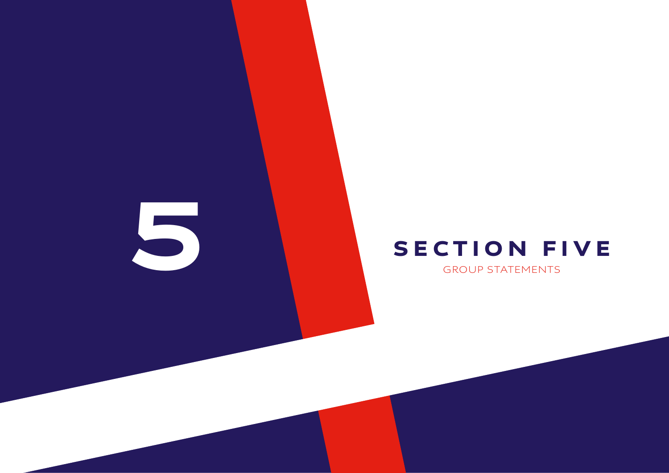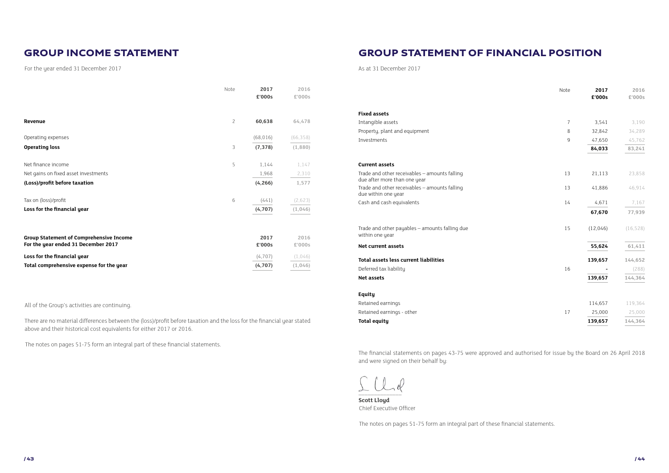For the year ended 31 December 2017 and the year of the year of the year of the year ended 31 December 2017

| Total assets less current liabilities                                         |    | 139,657  | 144,652   |
|-------------------------------------------------------------------------------|----|----------|-----------|
| Net current assets                                                            |    | 55,624   | 61,411    |
| Trade and other payables - amounts falling due<br>within one year             | 15 | (12,046) | (16, 528) |
|                                                                               |    | 67,670   | 77,939    |
| Cash and cash equivalents                                                     | 14 | 4,671    | 7,167     |
| Trade and other receivables - amounts falling<br>due within one year          | 13 | 41,886   | 46,914    |
| Trade and other receivables - amounts falling<br>due after more than one year | 13 | 21,113   | 23,858    |
| <b>Current assets</b>                                                         |    |          |           |
|                                                                               |    | 84,033   | 83,241    |
| Investments                                                                   | 9  | 47,650   | 45,762    |
| Property, plant and equipment                                                 | 8  | 32,842   | 34,289    |
| Intangible assets                                                             | 7  | 3,541    | 3,190     |
| <b>Fixed assets</b>                                                           |    |          |           |

|                                                                               | Note | 2017<br>£'000s | 2016<br>£'000s |
|-------------------------------------------------------------------------------|------|----------------|----------------|
| <b>Fixed assets</b>                                                           |      |                |                |
| Intangible assets                                                             | 7    | 3,541          | 3,190          |
| Property, plant and equipment                                                 | 8    | 32,842         | 34,289         |
| Investments                                                                   | 9    | 47,650         | 45,762         |
|                                                                               |      | 84,033         | 83,241         |
| <b>Current assets</b>                                                         |      |                |                |
| Trade and other receivables - amounts falling<br>due after more than one year | 13   | 21,113         | 23,858         |
| Trade and other receivables - amounts falling<br>due within one year          | 13   | 41,886         | 46,914         |
| Cash and cash equivalents                                                     | 14   | 4,671          | 7,167          |
|                                                                               |      | 67,670         | 77,939         |
| Trade and other payables - amounts falling due<br>within one year             | 15   | (12,046)       | (16, 528)      |
| <b>Net current assets</b>                                                     |      | 55,624         | 61,411         |
| <b>Total assets less current liabilities</b>                                  |      | 139,657        | 144,652        |
| Deferred tax liability                                                        | 16   |                | (288)          |
| <b>Net assets</b>                                                             |      | 139,657        | 144,364        |
| Equity                                                                        |      |                |                |
| Retained earnings                                                             |      | 114,657        | 119,364        |
| Retained earnings - other                                                     | 17   | 25,000         | 25,000         |
| <b>Total equity</b>                                                           |      | 139,657        | 144,364        |

#### **Equity**

|                                      | Note           | 2017<br>£'000s | 2016<br>£'000s |
|--------------------------------------|----------------|----------------|----------------|
| Revenue                              | $\overline{c}$ | 60,638         | 64,478         |
| Operating expenses                   |                | (68, 016)      | (66, 358)      |
| <b>Operating loss</b>                | 3              | (7, 378)       | (1,880)        |
| Net finance income                   | 5              | 1,144          | 1,147          |
| Net gains on fixed asset investments |                | 1,968          | 2,310          |
| (Loss)/profit before taxation        |                | (4, 266)       | 1,577          |
| Tax on (loss)/profit                 | 6              | (441)          | (2,623)        |
| Loss for the financial year          |                | (4,707)        | (1,046)        |

| <b>Group Statement of Comprehensive Income</b><br>For the year ended 31 December 2017 | 2017<br>£'000s | 2016<br>£'000s |
|---------------------------------------------------------------------------------------|----------------|----------------|
| Loss for the financial year                                                           | (4.707)        | (1.046)        |
| Total comprehensive expense for the year                                              | (4.707)        | (1.046)        |

All of the Group's activities are continuing.

There are no material differences between the (loss)/profit before taxation and the loss for the financial year stated above and their historical cost equivalents for either 2017 or 2016.

The notes on pages 51-75 form an integral part of these financial statements.

The financial statements on pages 43-75 were approved and authorised for issue by the Board on 26 April 2018 and were signed on their behalf by:

 $\sim$   $-1$ 

**Scott Lloyd**  Chief Executive Officer

The notes on pages 51-75 form an integral part of these financial statements.

#### GROUP INCOME STATEMENT GROUP STATEMENT OF FINANCIAL POSITION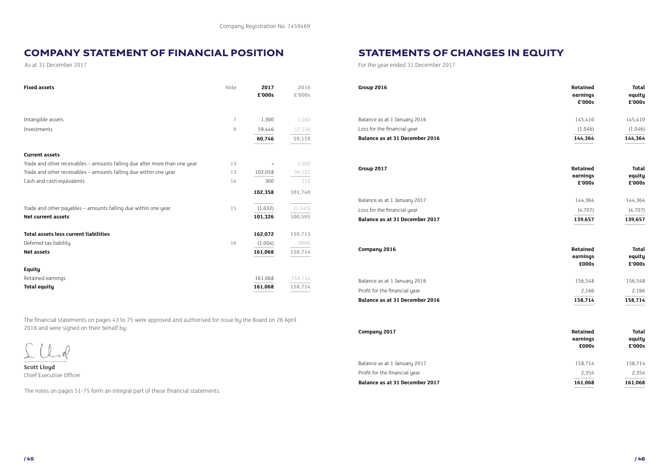As at 31 December 2017

#### COMPANY STATEMENT OF FINANCIAL POSITION

The financial statements on pages 43 to 75 were approved and authorised for issue by the Board on 26 April 2018 and were signed on their behalf by:

 $\sim$   $-$ 

| <b>Fixed assets</b>                                                        | Note | 2017<br>£'000s | 2016<br>£'000s | Group 2016                     | Retained<br>earnings<br>£'000s | Total<br>equity<br>£'000s |
|----------------------------------------------------------------------------|------|----------------|----------------|--------------------------------|--------------------------------|---------------------------|
| Intangible assets                                                          |      | 1,300          | 1,560          | Balance as at 1 January 2016   | 145,410                        | 145,410                   |
| Investments                                                                | 9    | 59,446         | 57,558         | Loss for the financial year    | (1,046)                        | (1,046)                   |
|                                                                            |      | 60,746         | 59,118         | Balance as at 31 December 2016 | 144,364                        | 144,364                   |
| <b>Current assets</b>                                                      |      |                |                |                                |                                |                           |
| Trade and other receivables - amounts falling due after more than one year | 13   | $\sim$         | 5,000          |                                | Retained                       | Total                     |
| Trade and other receivables - amounts falling due within one year          | 13   | 102,058        | 96,522         | Group 2017                     | earnings                       | equity                    |
| Cash and cash equivalents                                                  | 14   | 300            | 218            |                                | £'000s                         | £'000s                    |
|                                                                            |      | 102,358        | 101,740        |                                |                                |                           |
|                                                                            |      |                |                | Balance as at 1 January 2017   | 144,364                        | 144,364                   |
| Trade and other payables - amounts falling due within one year             | 15   | (1,032)        | (1, 145)       | Loss for the financial year    | (4,707)                        | (4,707)                   |
| <b>Net current assets</b>                                                  |      | 101,326        | 100,595        | Balance as at 31 December 2017 | 139,657                        | 139,657                   |
| Total assets less current liabilities                                      |      | 162,072        | 159,713        |                                |                                |                           |
| Deferred tax liability                                                     | 16   | (1,004)        | (999)          |                                |                                |                           |
| Net assets                                                                 |      | 161,068        | 158,714        | Company 2016                   | Retained<br>earnings           | Total                     |
|                                                                            |      |                |                |                                | £000s                          | equity<br>£'000s          |
| Equity                                                                     |      |                |                |                                |                                |                           |
| Retained earnings                                                          |      | 161,068        | 158,714        | Balance as at 1 January 2016   | 156,548                        | 156,548                   |
| <b>Total equity</b>                                                        |      | 161,068        | 158,714        | Profit for the financial year  | 2,166                          | 2,166                     |

**Scott Lloyd**  Chief Executive Officer

The notes on pages 51-75 form an integral part of these financial statements.

| Total   |  |  |
|---------|--|--|
| equity  |  |  |
| £'000s  |  |  |
| 145.410 |  |  |
|         |  |  |

| 4,364  | 144,36 |
|--------|--------|
| 1,046) | (1,04) |

| Retained | Total   |  |  |
|----------|---------|--|--|
| earnings | equity  |  |  |
| £'000s   | £'000s  |  |  |
| 144.364  | 144.364 |  |  |

| 39,657  | 139,657 |
|---------|---------|
| (4,707) | (4,707) |
| 44,JU4  | 144,304 |

| Retained | Total  |
|----------|--------|
| earnings | equity |
| £000s    | £'000s |
|          |        |

| Balance as at 31 December 2016 | 158.714 | 158.714 |
|--------------------------------|---------|---------|
| Profit for the financial year  | 2.166   | 2.166   |
| Balance as at 1 January 2016   | 156.548 | 156.548 |

| Company 2017                  | Retained<br>earnings<br>£000s | <b>Total</b><br>equity<br>£'000s |  |
|-------------------------------|-------------------------------|----------------------------------|--|
| Balance as at 1 January 2017  | 158.714                       | 158,714                          |  |
| Profit for the financial year | 2,354                         | 2,354                            |  |

#### **Balance as at 31 December 2017 161,068 161,068**

For the year ended 31 December 2017

Balance as at 1 January 2017 Profit for the financial year

STATEMENTS OF CHANGES IN EQUITY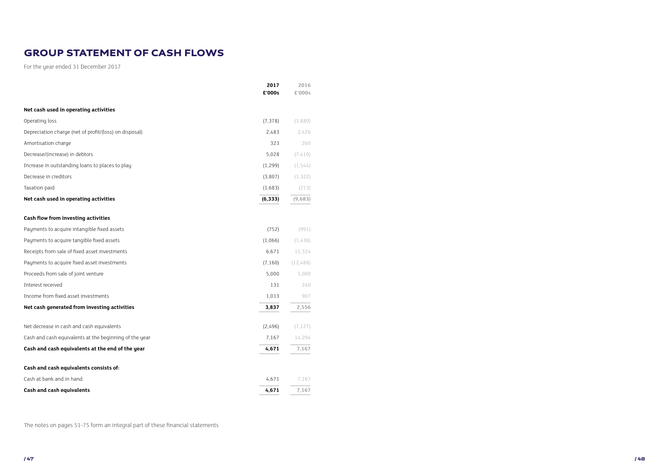|                                                        | 2017<br>£'000s | 2016<br>£'000s |
|--------------------------------------------------------|----------------|----------------|
| Net cash used in operating activities                  |                |                |
| Operating loss                                         | (7, 378)       | (1,880)        |
| Depreciation charge (net of profit/(loss) on disposal) | 2,483          | 2,426          |
| Amortisation charge                                    | 323            | 260            |
| Decrease/(increase) in debtors                         | 5,028          | (7, 410)       |
| Increase in outstanding loans to places to play        | (1, 299)       | (1, 544)       |
| Decrease in creditors                                  | (3,807)        | (1, 322)       |
| Taxation paid                                          | (1,683)        | (213)          |
| Net cash used in operating activities                  | (6, 333)       | (9,683)        |
| Cash flow from investing activities                    |                |                |
| Payments to acquire intangible fixed assets            | (752)          | (991)          |
| Payments to acquire tangible fixed assets              | (1,066)        | (1,436)        |
| Receipts from sale of fixed asset investments          | 6,671          | 11,324         |
| Payments to acquire fixed asset investments            | (7, 160)       | (12, 488)      |
| Proceeds from sale of joint venture                    | 5,000          | 5,000          |
| Interest received                                      | 131            | 240            |
| Income from fixed asset investments                    | 1,013          | 907            |
| Net cash generated from investing activities           | 3,837          | 2,556          |
| Net decrease in cash and cash equivalents              | (2,496)        | (7, 127)       |
| Cash and cash equivalents at the beginning of the year | 7,167          | 14,294         |
| Cash and cash equivalents at the end of the year       | 4,671          | 7,167          |
| Cash and cash equivalents consists of:                 |                |                |
| Cash at bank and in hand                               | 4,671          | 7,167          |
| <b>Cash and cash equivalents</b>                       | 4,671          | 7,167          |

#### GROUP STATEMENT OF CASH FLOWS

The notes on pages 51-75 form an integral part of these financial statements

и в селото на селото на селото на селото на селото на селото на селото на селото на селото на селото на селото<br>На селото на селото на селото на селото на селото на селото на селото на селото на селото на селото на селото

For the year ended 31 December 2017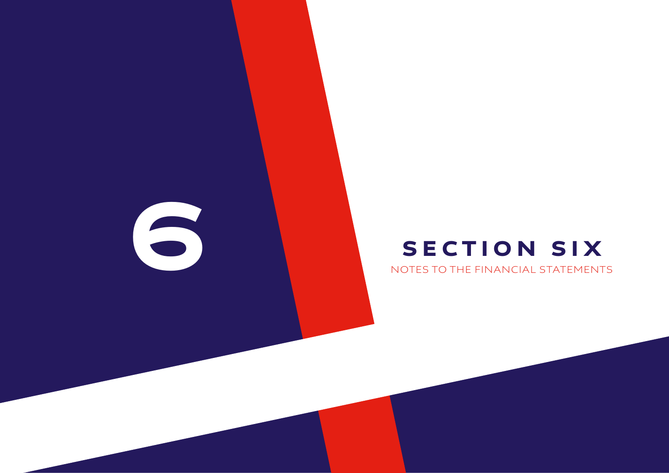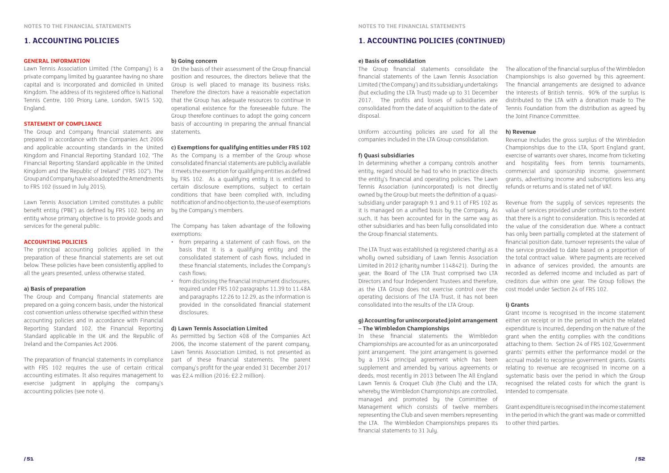#### **1. ACCOUNTING POLICIES 1. ACCOUNTING POLICIES (CONTINUED)**

#### **GENERAL INFORMATION**

Lawn Tennis Association Limited ('the Company') is a private company limited by guarantee having no share capital and is incorporated and domiciled in United Kingdom. The address of its registered office is National Tennis Centre, 100 Priory Lane, London, SW15 5JQ, England.

#### **STATEMENT OF COMPLIANCE**

The Group and Company financial statements are prepared in accordance with the Companies Act 2006 and applicable accounting standards in the United Kingdom and Financial Reporting Standard 102, "The Financial Reporting Standard applicable in the United Kingdom and the Republic of Ireland" ("FRS 102"). The Group and Company have also adopted the Amendments to FRS 102 (issued in July 2015).

Lawn Tennis Association Limited constitutes a public benefit entity ('PBE') as defined by FRS 102. being an entity whose primary objective is to provide goods and services for the general public.

#### **ACCOUNTING POLICIES**

The principal accounting policies applied in the preparation of these financial statements are set out below. These policies have been consistently applied to all the years presented, unless otherwise stated.

#### **a) Basis of preparation**

The Group and Company financial statements are prepared on a going concern basis, under the historical cost convention unless otherwise specified within these accounting policies and in accordance with Financial Reporting Standard 102, the Financial Reporting Standard applicable in the UK and the Republic of Ireland and the Companies Act 2006.

The preparation of financial statements in compliance with FRS 102 requires the use of certain critical accounting estimates. It also requires management to exercise judgment in applying the company's accounting policies (see note v).

#### **b) Going concern**

 On the basis of their assessment of the Group financial position and resources, the directors believe that the Group is well placed to manage its business risks. Therefore the directors have a reasonable expectation that the Group has adequate resources to continue in operational existence for the foreseeable future. The Group therefore continues to adopt the going concern basis of accounting in preparing the annual financial statements.

#### **c) Exemptions for qualifying entities under FRS 102**

As the Company is a member of the Group whose consolidated financial statements are publicly available it meets the exemption for qualifying entities as defined by FRS 102. As a qualifying entity it is entitled to certain disclosure exemptions, subject to certain conditions that have been complied with, including notification of and no objection to, the use of exemptions by the Company's members.

The Company has taken advantage of the following exemptions:

- from preparing a statement of cash flows, on the basis that it is a qualifying entity and the consolidated statement of cash flows, included in these financial statements, includes the Company's cash flows;
- from disclosing the financial instrument disclosures, required under FRS 102 paragraphs 11.39 to 11.48A and paragraphs 12.26 to 12.29, as the information is provided in the consolidated financial statement disclosures;

#### **d) Lawn Tennis Association Limited**

As permitted by Section 408 of the Companies Act 2006, the income statement of the parent company, Lawn Tennis Association Limited, is not presented as part of these financial statements. The parent company's profit for the year ended 31 December 2017 was £2.4 million (2016: £2.2 million).

#### **e) Basis of consolidation**

Uniform accounting policies are used for all the companies included in the LTA Group consolidation.

#### **f) Quasi subsidiaries**

In determining whether a company controls another entity, regard should be had to who in practice directs the entity's financial and operating policies. The Lawn Tennis Association (unincorporated) is not directly owned by the Group but meets the definition of a quasisubsidiary under paragraph 9.1 and 9.11 of FRS 102 as it is managed on a unified basis by the Company. As such, it has been accounted for in the same way as other subsidiaries and has been fully consolidated into the Group financial statements.

The LTA Trust was established (a registered charity) as a wholly owned subsidiary of Lawn Tennis Association Limited in 2012 (charity number 1148421). During the year, the Board of The LTA Trust comprised two LTA Directors and four Independent Trustees and therefore, as the LTA Group does not exercise control over the operating decisions of The LTA Trust, it has not been consolidated into the results of the LTA Group.

The Group financial statements consolidate the financial statements of the Lawn Tennis Association Limited ('the Company') and its subsidiary undertakings (but excluding the LTA Trust) made up to 31 December 2017. The profits and losses of subsidiaries are consolidated from the date of acquisition to the date of disposal. The allocation of the financial surplus of the Wimbledon Championships is also governed by this agreement. The financial arrangements are designed to advance the interests of British tennis. 90% of the surplus is distributed to the LTA with a donation made to The Tennis Foundation from the distribution as agreed by the Joint Finance Committee.

#### **g) Accounting for unincorporated joint arrangement – The Wimbledon Championships**

#### **h) Revenue**

Revenue includes the gross surplus of the Wimbledon Championships due to the LTA, Sport England grant, exercise of warrants over shares, income from ticketing and hospitality fees from tennis tournaments, commercial and sponsorship income, government grants, advertising income and subscriptions less any refunds or returns and is stated net of VAT.

In these financial statements the Wimbledon Championships are accounted for as an unincorporated joint arrangement. The joint arrangement is governed by a 1934 principal agreement which has been supplement and amended by various agreements or deeds, most recently in 2013 between The All England Lawn Tennis & Croquet Club (the Club) and the LTA, whereby the Wimbledon Championships are controlled, managed and promoted by the Committee of Management which consists of twelve members representing the Club and seven members representing the LTA. The Wimbledon Championships prepares its financial statements to 31 July. attaching to them. Section 24 of FRS 102,'Government grants' permits either the performance model or the accrual model to recognise government grants. Grants relating to revenue are recognised in income on a systematic basis over the period in which the Group recognised the related costs for which the grant is intended to compensate. Grant expenditure is recognised in the income statement in the period in which the grant was made or committed to other third parties.

Revenue from the supply of services represents the value of services provided under contracts to the extent that there is a right to consideration. This is recorded at the value of the consideration due. Where a contract has only been partially completed at the statement of financial position date, turnover represents the value of the service provided to date based on a proportion of the total contract value. Where payments are received in advance of services provided, the amounts are recorded as deferred income and included as part of creditors due within one year. The Group follows the cost model under Section 24 of FRS 102.

#### **i) Grants**

Grant income is recognised in the income statement either on receipt or in the period in which the related expenditure is incurred, depending on the nature of the grant when the entity complies with the conditions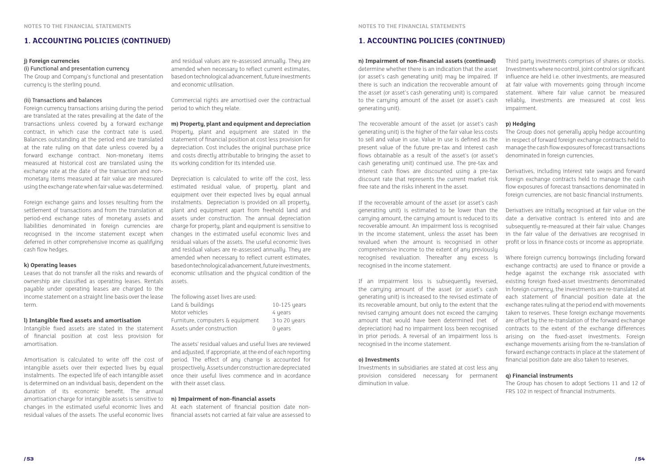#### **j) Foreign currencies**

#### (i) Functional and presentation currency

The Group and Company's functional and presentation currency is the sterling pound.

#### (ii) Transactions and balances

Foreign currency transactions arising during the period are translated at the rates prevailing at the date of the transactions unless covered by a forward exchange contract, in which case the contract rate is used. Balances outstanding at the period end are translated at the rate ruling on that date unless covered by a forward exchange contract. Non-monetary items measured at historical cost are translated using the exchange rate at the date of the transaction and nonmonetary items measured at fair value are measured using the exchange rate when fair value was determined.

Foreign exchange gains and losses resulting from the settlement of transactions and from the translation at period-end exchange rates of monetary assets and liabilities denominated in foreign currencies are recognised in the income statement except when deferred in other comprehensive income as qualifying cash flow hedges.

#### **k) Operating leases**

Leases that do not transfer all the risks and rewards of ownership are classified as operating leases. Rentals payable under operating leases are charged to the income statement on a straight line basis over the lease term.

#### **l) Intangible fixed assets and amortisation**

Intangible fixed assets are stated in the statement of financial position at cost less provision for amortisation.

The assets' residual values and useful lives are reviewed and adjusted, if appropriate, at the end of each reporting period. The effect of any change is accounted for prospectively. Assets under construction are depreciated once their useful lives commence and in acordance with their asset class.

Amortisation is calculated to write off the cost of intangible assets over their expected lives by equal instalments. The expected life of each intangible asset is determined on an individual basis, dependent on the duration of its economic benefit. The annual amortisation charge for intangible assets is sensitive to changes in the estimated useful economic lives and residual values of the assets. The useful economic lives

and residual values are re-assessed annually. They are amended when necessary to reflect current estimates. based on technological advancement, future investments and economic utilisation.

> The recoverable amount of the asset (or asset's cash generating unit) is the higher of the fair value less costs to sell and value in use. Value in use is defined as the present value of the future pre-tax and interest cash flows obtainable as a result of the asset's (or asset's cash generating unit) continued use. The pre-tax and interest cash flows are discounted using a pre-tax discount rate that represents the current market risk free rate and the risks inherent in the asset. **p) Hedging** The Group does not generally apply hedge accounting in respect of forward foreign exchange contracts held to manage the cash flow exposures of forecast transactions denominated in foreign currencies. Derivatives, including interest rate swaps and forward foreign exchange contracts held to manage the cash flow exposures of forecast transactions denominated in foreign currencies, are not basic financial instruments.

Commercial rights are amortised over the contractual period to which they relate.

#### **m) Property, plant and equipment and depreciation**

Property, plant and equipment are stated in the statement of financial position at cost less provision for depreciation. Cost includes the original purchase price and costs directly attributable to bringing the asset to its working condition for its intended use.

Depreciation is calculated to write off the cost, less estimated residual value, of property, plant and equipment over their expected lives by equal annual instalments. Depreciation is provided on all property, plant and equipment apart from freehold land and assets under construction. The annual depreciation charge for property, plant and equipment is sensitive to changes in the estimated useful economic lives and residual values of the assets. The useful economic lives and residual values are re-assessed annually. They are amended when necessary to reflect current estimates, based on technological advancement, future investments, economic utilisation and the physical condition of the assets.

| The following asset lives are used: |               |
|-------------------------------------|---------------|
| Land & buildings                    | 10-125 years  |
| Motor vehicles                      | 4 years       |
| Furniture, computers & equipment    | 3 to 20 years |
| Assets under construction           | 0 years       |

#### **n) Impairment of non-financial assets**

At each statement of financial position date nonfinancial assets not carried at fair value are assessed to

**n) Impairment of non-financial assets (continued)**  determine whether there is an indication that the asset (or asset's cash generating unit) may be impaired. If there is such an indication the recoverable amount of the asset (or asset's cash generating unit) is compared to the carrying amount of the asset (or asset's cash generating unit).

Investments in subsidiaries are stated at cost less any provision considered necessary for permanent diminution in value.

If the recoverable amount of the asset (or asset's cash generating unit) is estimated to be lower than the carrying amount, the carrying amount is reduced to its recoverable amount. An impairment loss is recognised in the income statement, unless the asset has been revalued when the amount is recognised in other comprehensive income to the extent of any previously Derivatives are initially recognised at fair value on the date a derivative contract is entered into and are subsequently re-measured at their fair value. Changes in the fair value of the derivatives are recognised in profit or loss in finance costs or income as appropriate.

Third party investments comprises of shares or stocks. Investments where no control, joint control or significant influence are held i.e. other investments, are measured at fair value with movements going through income statement. Where fair value cannot be measured reliably, investments are measured at cost less impairment.

recognised revaluation. Thereafter any excess is recognised in the income statement. If an impairment loss is subsequently reversed, the carrying amount of the asset (or asset's cash generating unit) is increased to the revised estimate of its recoverable amount, but only to the extent that the revised carruing amount does not exceed the carruing amount that would have been determined (net of depreciation) had no impairment loss been recognised in prior periods. A reversal of an impairment loss is recognised in the income statement. **o) Investments** Where foreign currency borrowings (including forward exchange contracts) are used to finance or provide a hedge against the exchange risk associated with existing foreign fixed-asset investments denominated in foreign currency, the investments are re-translated at each statement of financial position date at the exchange rates ruling at the period end with movements taken to reserves. These foreign exchange movements are offset by the re-translation of the forward exchange contracts to the extent of the exchange differences arising on the fixed-asset investments. Foreign exchange movements arising from the re-translation of forward exchange contracts in place at the statement of financial position date are also taken to reserves.

#### **q) Financial instruments**

The Group has chosen to adopt Sections 11 and 12 of FRS 102 in respect of financial instruments.

#### **1. ACCOUNTING POLICIES (CONTINUED) 1. ACCOUNTING POLICIES (CONTINUED)**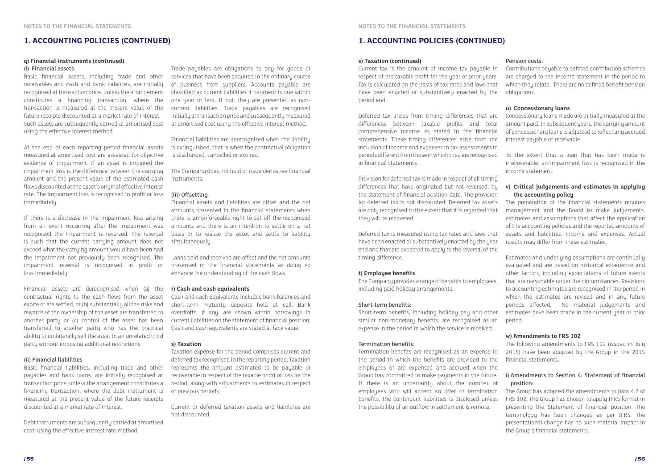#### **q) Financial instruments (continued)**

#### (i) Financial assets

Basic financial assets, including trade and other receivables and cash and bank balances, are initially recognised at transaction price, unless the arrangement constitutes a financing transaction, where the transaction is measured at the present value of the future receipts discounted at a market rate of interest. Such assets are subsequently carried at amortised cost using the effective interest method.

At the end of each reporting period financial assets measured at amortised cost are assessed for objective evidence of impairment. If an asset is impaired the impairment loss is the difference between the carrying amount and the present value of the estimated cash flows discounted at the asset's original effective interest rate. The impairment loss is recognised in profit or loss immediately.

If there is a decrease in the impairment loss arising from an event occurring after the impairment was recognised the impairment is reversed. The reversal is such that the current carrying amount does not exceed what the carrying amount would have been had the impairment not previously been recognised. The impairment reversal is recognised in profit or loss immediately.

Financial assets are derecognised when (a) the contractual rights to the cash flows from the asset expire or are settled, or (b) substantially all the risks and rewards of the ownership of the asset are transferred to another party or (c) control of the asset has been transferred to another party who has the practical ability to unilaterally sell the asset to an unrelated third party without imposing additional restrictions.

#### (ii) Financial liabilities

Basic financial liabilities, including trade and other payables and bank loans, are initially recognised at transaction price, unless the arrangement constitutes a financing transaction, where the debt instrument is measured at the present value of the future receipts discounted at a market rate of interest.

Debt instruments are subsequently carried at amortised cost, using the effective interest rate method.

Trade payables are obligations to pay for goods or services that have been acquired in the ordinary course of business from suppliers. Accounts payable are classified as current liabilities if payment is due within one year or less. If not, they are presented as noncurrent liabilities. Trade payables are recognised initially at transaction price and subsequently measured at amortised cost using the effective interest method.

Financial liabilities are derecognised when the liability is extinguished, that is when the contractual obligation is discharged, cancelled or expired.

The Company does not hold or issue derivative financial instruments.

#### (iii) Offsetting

Financial assets and liabilities are offset and the net amounts presented in the financial statements when there is an enforceable right to set off the recognised amounts and there is an intention to settle on a net basis or to realise the asset and settle to liability simultaneously.

Loans paid and received are offset and the net amounts presented in the financial statements as doing so enhance the understanding of the cash flows.

#### **r) Cash and cash equivalents**

Cash and cash equivalents includes bank balances and short-term maturity deposits held at call. Bank overdrafts, if any, are shown within borrowings in current liabilities on the statement of financial position. Cash and cash equivalents are stated at face value.

#### **s) Taxation**

Taxation expense for the period comprises current and deferred tax recognised in the reporting period. Taxation represents the amount estimated to be payable or recoverable in respect of the taxable profit or loss for the period, along with adjustments to estimates in respect of previous periods.

Current or deferred taxation assets and liabilities are not discounted.

#### **s) Taxation (continued)**

Current tax is the amount of income tax payable in respect of the taxable profit for the year or prior years. Tax is calculated on the basis of tax rates and laws that have been enacted or substantively enacted by the period end.

Provision for deferred tax is made in respect of all timing differences that have originated but not reversed, by the statement of financial position date. The provision for deferred tax is not discounted. Deferred tax assets are only recognised to the extent that it is regarded that they will be recovered.

Deferred tax is measured using tax rates and laws that have been enacted or substantively enacted by the year end and that are expected to apply to the reversal of the timing difference.

#### **t) Employee benefits**

The Company provides a range of benefits to employees, including paid holiday arrangements.

#### Short-term benefits:

Short-term benefits, including holiday pay and other similar non-monetary benefits, are recognised as an expense in the period in which the service is received.

Deferred tax arises from timing differences that are differences between taxable profits and total comprehensive income as stated in the financial statements. These timing differences arise from the inclusion of income and expenses in tax assessments in periods different from those in which they are recognised in financial statements. Concessionary loans made are initially measured at the amount paid. In subsequent years, the carrying amount of concessionary loans is adjusted to reflect any accrued interest payable or receivable. To the extent that a loan that has been made is irrecoverable, an impairment loss is recognised in the income statement.

#### Termination benefits:

Termination benefits are recognised as an expense in the period in which the benefits are provided to the employees or are expensed and accrued when the Group has committed to make payments in the future. If there is an uncertainty about the number of employees who will accept an offer of termination benefits, the contingent liabilities is disclosed unless the possibility of an outflow in settlement is remote.

#### Pension costs:

Contributions payable to defined contribution schemes are charged to the income statement in the period to which they relate. There are no defined benefit pension obligations.

#### **u) Concessionary loans**

#### **v) Critical judgements and estimates in applying the accounting policy**

The preparation of the financial statements requires management and the Board to make judgements, estimates and assumptions that affect the application of the accounting policies and the reported amounts of assets and liabilities, income and expenses. Actual results may differ from these estimates.

Estimates and underlying assumptions are continually evaluated and are based on historical experience and other factors, including expectations of future events that are reasonable under the circumstances. Revisions to accounting estimates are recognised in the period in which the estimates are revised and in any future periods affected. No material judgements and estimates have been made in the current year or prior period.

#### **w) Amendments to FRS 102**

The following amendments to FRS 102 (issued in July 2015) have been adopted by the Group in the 2015 financial statements.

#### i) Amendments to Section 4: Statement of financial position:

The Group has adopted the amendments to para 4.2 of FRS 102. The Group has chosen to apply IFRS format in presenting the Statement of financial position. The terminology has been changed as per IFRS. The presentational change has no such material impact in the Group's financial statements.

#### **1. ACCOUNTING POLICIES (CONTINUED) 1. ACCOUNTING POLICIES (CONTINUED)**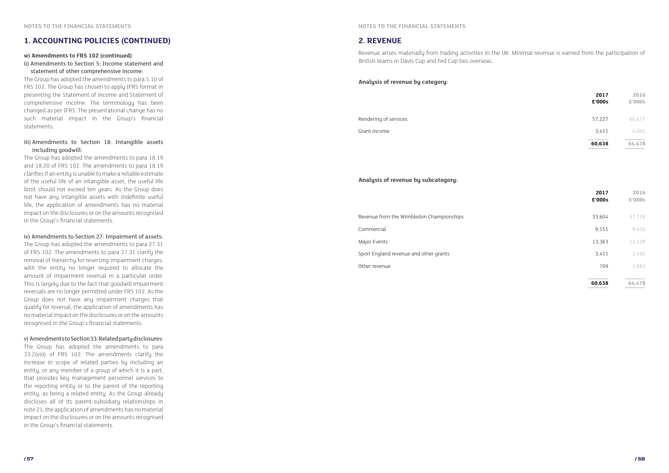#### **w) Amendments to FRS 102 (continued)**

ii) Amendments to Section 5: Income statement and statement of other comprehensive income:

The Group has adopted the amendments to para 5.10 of FRS 102. The Group has chosen to apply IFRS format in presenting the Statement of income and Statement of comprehensive income. The terminology has been changed as per IFRS. The presentational change has no such material impact in the Group's financial statements.

#### iii) Amendments to Section 18: Intangible assets including goodwill:

The Group has adopted the amendments to para 18.19 and 18.20 of FRS 102. The amendments to para 18.19 clarifies if an entity is unable to make a reliable estimate of the useful life of an intangible asset, the useful life limit should not exceed ten years. As the Group does not have any intangible assets with indefinite useful life, the application of amendments has no material impact on the disclosures or on the amounts recognised in the Group's financial statements.

iv) Amendments to Section 27: Impairment of assets: The Group has adopted the amendments to para 27.31 of FRS 102. The amendments to para 27.31 clarify the removal of hierarchy for reversing impairment charges, with the entity no longer required to allocate the amount of impairment reversal in a particular order. This is largely due to the fact that goodwill impairment reversals are no longer permitted under FRS 102. As the Group does not have any impairment charges that qualify for reversal, the application of amendments has no material impact on the disclosures or on the amounts recognised in the Group's financial statements.

#### v) Amendments to Section 33: Related party disclosures:

The Group has adopted the amendments to para 33.2(viii) of FRS 102. The amendments clarify the increase in scope of related parties by including an entity, or any member of a group of which it is a part, that provides key management personnel services to the reporting entity or to the parent of the reporting entity, as being a related entity. As the Group already discloses all of its parent-subsidiary relationships in note 21, the application of amendments has no material impact on the disclosures or on the amounts recognised in the Group's financial statements.

#### **2. REVENUE**

Revenue arises materially from trading activities in the UK. Minimal revenue is earned from the participation of British teams in Davis Cup and Fed Cup ties overseas.

|                                          | 2017<br>£'000s | 2016<br>£'000s |
|------------------------------------------|----------------|----------------|
| Revenue from the Wimbledon Championships | 33,604         | 37,719         |
| Commercial                               | 9,551          | 9,456          |
| Major Events                             | 13,363         | 12,128         |
| Sport England revenue and other grants   | 3,411          | 3,492          |
| Other revenue                            | 709            | 1,683          |
|                                          | 60,638         | 64,478         |

|                       | 2017<br>£'000s | 2016<br>£'000s |
|-----------------------|----------------|----------------|
| Rendering of services | 57,227         | 60,477         |
| Grant income          | 3,411          | 4,001          |
|                       | 60,638         | 64,478         |

#### **Analysis of revenue by category:**

#### **Analysis of revenue by subcategory:**

#### Revenue from the Wimbledon Championships

#### **1. ACCOUNTING POLICIES (CONTINUED)**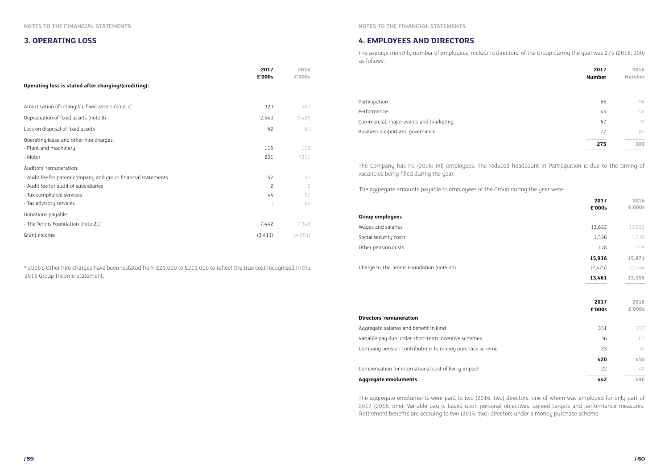#### **3. OPERATING LOSS 4. EMPLOYEES AND DIRECTORS**

|                                                               | 2017<br>£'000s | 2016<br>£'000s |  |
|---------------------------------------------------------------|----------------|----------------|--|
| Operating loss is stated after charging/(crediting):          |                |                |  |
| Amortisation of intangible fixed assets (note 7)              | 323            | 260            |  |
| Depreciation of fixed assets (note 8)                         | 2,543          | 2,426          |  |
| Loss on disposal of fixed assets                              | 62             | 61             |  |
| Operating lease and other hire charges:                       |                |                |  |
| - Plant and machinery                                         | 115            | 119            |  |
| - Motor                                                       | 231            | $*211$         |  |
| Auditors' remuneration:                                       |                |                |  |
| - Audit fee for parent company and group financial statements | 52             | 51             |  |
| - Audit fee for audit of subsidiaries                         | $\overline{c}$ | $\overline{c}$ |  |
| - Tax compliance services                                     | 44             | 57             |  |
| - Tax advisory services                                       |                | 64             |  |
| Donations payable:                                            |                |                |  |
| - The Tennis Foundation (note 21)                             | 7,442          | 7,348          |  |
| Grant income                                                  | (3, 411)       | (4,001)        |  |

\* 2016's Other hire charges have been restated from £21,000 to £211,000 to reflect the true cost recognised in the 2016 Group Income Statement.

The average monthly number of employees, including directors, of the Group during the year was 275 (2016: 300) as follows:

| 2017<br>Number | 2016<br>Number |
|----------------|----------------|
|                |                |
| 86             | 96             |
| 45             | 50             |
| 67             | 70             |
| 77             | 84             |
| 275            | 30             |

| Participation                          | 86 | 96 |
|----------------------------------------|----|----|
| Performance                            | 45 | 50 |
| Commercial, major events and marketing | 67 |    |
| Business support and governance        |    |    |

The Company has no (2016: nil) employees. The reduced headcount in Participation is due to the timing of vacancies being filled during the year.

The aggregate amounts payable to employees of the Group during the year were:

The aggregate emoluments were paid to two (2016: two) directors, one of whom was employed for only part of 2017 (2016: one). Variable pay is based upon personal objectives, agreed targets and performance measures. Retirement benefits are accruing to two (2016: two) directors under a money purchase scheme.

**Group employees**

Wages and salaries

Social security costs

Other pension costs

Charge to The Tennis Foundation (note 21)

| 2017<br>£'000s | 2016<br>£'000s |
|----------------|----------------|
| 13,622         | 13,582         |
| 1,536          | 1,530          |
| 778            | 759            |
| 15,936         | 15,871         |
| (2, 475)       | (2, 516)       |
| 13,461         | 13,355         |
|                |                |
| 2017<br>£'000s | 2016<br>£'000s |
| 351            | 357            |
| 36             | 67             |
| 33             | 32             |
| 420            | 456            |
| 22             | 40             |

#### **Directors' remuneration**

Aggregate salaries and benefit in kind Variable pay due under short-term incentive schemes Company pension contributions to money purchase scheme

Compensation for international cost of living impact

#### **Aggregate emoluments 442 496**

**NOTES TO THE FINANCIAL STATEMENTS NOTES TO THE FINANCIAL STATEMENTS**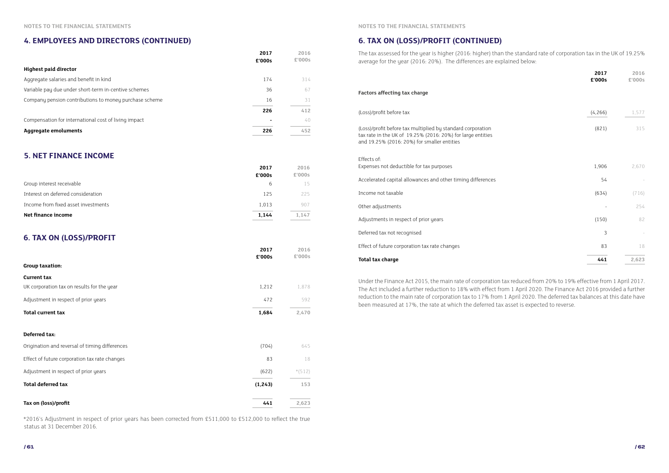#### **4. EMPLOYEES AND DIRECTORS (CONTINUED)**

#### **5. NET FINANCE INCOME**

#### **6. TAX ON (LOSS)/PROFIT**

\*2016's Adjustment in respect of prior years has been corrected from £511,000 to £512,000 to reflect the true status at 31 December 2016.

|                                                        | 2017<br>£'000s | 2016<br>£'000s |
|--------------------------------------------------------|----------------|----------------|
| <b>Highest paid director</b>                           |                |                |
| Aggregate salaries and benefit in kind                 | 174            | 314            |
| Variable pay due under short-term in-centive schemes   | 36             | 67             |
| Company pension contributions to money purchase scheme | 16             | 31             |
|                                                        | 226            | 412            |
| Compensation for international cost of living impact   |                | 40             |
| <b>Aggregate emoluments</b>                            | 226            | 452            |

|                                     | 2017<br>£'000s | 2016<br>£'000s |
|-------------------------------------|----------------|----------------|
| Group interest receivable           | 6              | 15.            |
| Interest on deferred consideration  | 125            | 225            |
| Income from fixed asset investments | 1.013          | 907            |
| Net finance income                  | 1.144          | 1.147          |

|                                                | 2017<br>£'000s | 2016<br>£'000s |
|------------------------------------------------|----------------|----------------|
| <b>Group taxation:</b>                         |                |                |
| <b>Current tax</b>                             |                |                |
| UK corporation tax on results for the year     | 1,212          | 1,878          |
| Adjustment in respect of prior years           | 472            | 592            |
| <b>Total current tax</b>                       | 1,684          | 2,470          |
| Deferred tax:                                  |                |                |
| Origination and reversal of timing differences | (704)          | 645            |
| Effect of future corporation tax rate changes  | 83             | 18             |
| Adjustment in respect of prior years           | (622)          | $*(512)$       |
| <b>Total deferred tax</b>                      | (1, 243)       | 153            |
| Tax on (loss)/profit                           | 441            | 2,623          |

#### **6. TAX ON (LOSS)/PROFIT (CONTINUED)**

| 2016<br>£'000s           | 2017<br>£'000s |
|--------------------------|----------------|
|                          |                |
| 1,577                    | (4, 266)       |
| 315                      | (821)          |
|                          |                |
|                          |                |
| 2,670                    | 1,906          |
|                          | 54             |
| (716)                    | (634)          |
| 254                      |                |
| 82                       | (150)          |
| $\overline{\phantom{0}}$ | 3              |
| $1\,8$                   | 83             |
| 2,623                    | 441            |

|                                                                                                                                                                           | 2017<br>£'000s | 2016<br>£'000s |
|---------------------------------------------------------------------------------------------------------------------------------------------------------------------------|----------------|----------------|
| <b>Factors affecting tax charge</b>                                                                                                                                       |                |                |
| (Loss)/profit before tax                                                                                                                                                  | (4, 266)       | 1,577          |
| (Loss)/profit before tax multiplied by standard corporation<br>tax rate in the UK of 19.25% (2016: 20%) for large entities<br>and 19.25% (2016: 20%) for smaller entities | (821)          | 315            |
| Effects of:<br>Expenses not deductible for tax purposes                                                                                                                   | 1,906          | 2,670          |
| Accelerated capital allowances and other timing differences                                                                                                               | 54             |                |
| Income not taxable                                                                                                                                                        | (634)          | (716)          |
| Other adjustments                                                                                                                                                         |                | 254            |
| Adjustments in respect of prior years                                                                                                                                     | (150)          | 82             |
| Deferred tax not recognised                                                                                                                                               | 3              |                |
| Effect of future corporation tax rate changes                                                                                                                             | 83             | 18             |
| <b>Total tax charge</b>                                                                                                                                                   | 441            | 2,623          |

The tax assessed for the year is higher (2016: higher) than the standard rate of corporation tax in the UK of 19.25% average for the year (2016: 20%). The differences are explained below:

Under the Finance Act 2015, the main rate of corporation tax reduced from 20% to 19% effective from 1 April 2017. The Act included a further reduction to 18% with effect from 1 April 2020. The Finance Act 2016 provided a further reduction to the main rate of corporation tax to 17% from 1 April 2020. The deferred tax balances at this date have been measured at 17%, the rate at which the deferred tax asset is expected to reverse.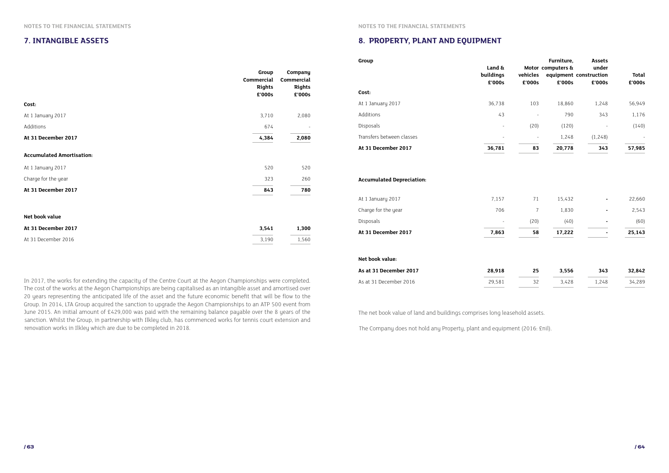#### **7. INTANGIBLE ASSETS**

Group. In 2014, LTA Group acquired the sanction to upgrade the Aegon Championships to an ATP 500 event from June 2015. An initial amount of £429,000 was paid with the remaining balance payable over the 8 years of the sanction. Whilst the Group, in partnership with Ilkley club, has commenced works for tennis court extension and

|                                                                                                                                                                                                                                      |                         |                         | <b>Group</b>                     |                     |          | Furniture,                                  | <b>Assets</b>  |        |
|--------------------------------------------------------------------------------------------------------------------------------------------------------------------------------------------------------------------------------------|-------------------------|-------------------------|----------------------------------|---------------------|----------|---------------------------------------------|----------------|--------|
|                                                                                                                                                                                                                                      | Group                   | Company                 |                                  | Land &<br>buildings | vehicles | Motor computers &<br>equipment construction | under          | Total  |
|                                                                                                                                                                                                                                      | Commercial              | Commercial              |                                  | £'000s              | £'000s   | £'000s                                      | £'000s         | £'000s |
|                                                                                                                                                                                                                                      | <b>Rights</b><br>£'000s | <b>Rights</b><br>£'000s | Cost:                            |                     |          |                                             |                |        |
| Cost:                                                                                                                                                                                                                                |                         |                         | At 1 January 2017                | 36,738              | 103      | 18,860                                      | 1,248          | 56,949 |
| At 1 January 2017                                                                                                                                                                                                                    | 3,710                   | 2,080                   | Additions                        | 43                  | $\sim$   | 790                                         | 343            | 1,176  |
| Additions                                                                                                                                                                                                                            | 674                     | $\sim$                  | Disposals                        |                     | (20)     | (120)                                       | $\sim$         | (140)  |
| At 31 December 2017                                                                                                                                                                                                                  | 4,384                   | 2,080                   | Transfers between classes        |                     | $\sim$   | 1,248                                       | (1, 248)       |        |
|                                                                                                                                                                                                                                      |                         |                         | At 31 December 2017              | 36,781              | 83       | 20,778                                      | 343            | 57,985 |
| <b>Accumulated Amortisation:</b>                                                                                                                                                                                                     |                         |                         |                                  |                     |          |                                             |                |        |
| At 1 January 2017                                                                                                                                                                                                                    | 520                     | 520                     |                                  |                     |          |                                             |                |        |
| Charge for the year                                                                                                                                                                                                                  | 323                     | 260                     | <b>Accumulated Depreciation:</b> |                     |          |                                             |                |        |
| At 31 December 2017                                                                                                                                                                                                                  | 843                     | 780                     |                                  |                     |          |                                             |                |        |
|                                                                                                                                                                                                                                      |                         |                         | At 1 January 2017                | 7,157               | 71       | 15,432                                      | $\sim$         | 22,660 |
|                                                                                                                                                                                                                                      |                         |                         | Charge for the year              | 706                 |          | 1,830                                       | $\sim$         | 2,543  |
| Net book value                                                                                                                                                                                                                       |                         |                         | Disposals                        |                     | (20)     | (40)                                        | $\sim$         | (60)   |
| At 31 December 2017                                                                                                                                                                                                                  | 3,541                   | 1,300                   | At 31 December 2017              | 7,863               | 58       | 17,222                                      | $\blacksquare$ | 25,143 |
| At 31 December 2016                                                                                                                                                                                                                  | 3,190                   | 1,560                   |                                  |                     |          |                                             |                |        |
|                                                                                                                                                                                                                                      |                         |                         | Net book value:                  |                     |          |                                             |                |        |
|                                                                                                                                                                                                                                      |                         |                         | As at 31 December 2017           | 28,918              | 25       | 3,556                                       | 343            | 32,842 |
| In 2017, the works for extending the capacity of the Centre Court at the Aegon Championships were completed.                                                                                                                         |                         |                         | As at 31 December 2016           | 29,581              | 32       | 3,428                                       | 1,248          | 34,289 |
| The cost of the works at the Aegon Championships are being capitalised as an intangible asset and amortised over<br>20 years representing the anticipated life of the asset and the future economic benefit that will be flow to the |                         |                         |                                  |                     |          |                                             |                |        |

renovation works in Ilkley which are due to be completed in 2018.

#### **8. PROPERTY, PLANT AND EQUIPMENT**

| vehicles<br>£'000s | Furniture,<br>Motor computers &<br>£'000s | Assets<br>under<br>equipment construction<br>£'000s | <b>Total</b><br>£'000s |
|--------------------|-------------------------------------------|-----------------------------------------------------|------------------------|
| 103                | 18.860                                    | 1.248                                               | 56,949                 |
|                    | 790                                       | 343                                                 | 1.176                  |
| (20)               | (120)                                     |                                                     | (140)                  |
|                    | 1,248                                     | (1, 248)                                            |                        |
| 83                 | 20,778                                    | 343                                                 | 57,985                 |

| 58   | 17,222 |   | 25,143 |
|------|--------|---|--------|
| (20) | (40)   |   | (60)   |
|      | 1,830  | - | 2,543  |
| 71   | 15,432 |   | 22,660 |
|      |        |   |        |

| 25. | 3,556 | 343   | 32,842 |
|-----|-------|-------|--------|
| マフ  | 3,428 | 1,248 | 34,289 |
|     |       |       |        |

The net book value of land and buildings comprises long leasehold assets.

The Company does not hold any Property, plant and equipment (2016: £nil).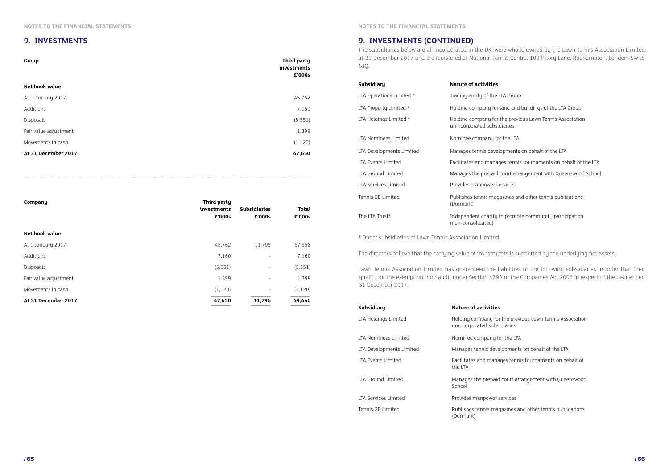#### **9. INVESTMENTS**

| Group                 | Third party<br>investments<br>£'000s |
|-----------------------|--------------------------------------|
| Net book value        |                                      |
| At 1 January 2017     | 45,762                               |
| Additions             | 7,160                                |
| Disposals             | (5, 551)                             |
| Fair value adjustment | 1,399                                |
| Movements in cash     | (1, 120)                             |
|                       | 47,650                               |
| At 31 December 2017   |                                      |

| Company               | Third party<br>investments<br>£'000s | <b>Subsidiaries</b><br>£'000s | <b>Total</b><br>£'000s |
|-----------------------|--------------------------------------|-------------------------------|------------------------|
| Net book value        |                                      |                               |                        |
| At 1 January 2017     | 45,762                               | 11,796                        | 57,558                 |
| Additions             | 7,160                                | $\overline{\phantom{a}}$      | 7,160                  |
| Disposals             | (5, 551)                             | $\overline{\phantom{a}}$      | (5, 551)               |
| Fair value adjustment | 1,399                                | $\overline{\phantom{a}}$      | 1,399                  |
| Movements in cash     | (1, 120)                             | $\overline{\phantom{a}}$      | (1, 120)               |
| At 31 December 2017   | 47,650                               | 11,796                        | 59,446                 |

#### **9. INVESTMENTS (CONTINUED)**

The subsidiaries below are all incorporated in the UK, were wholly owned by the Lawn Tennis Association Limited at 31 December 2017 and are registered at National Tennis Centre, 100 Priory Lane, Roehampton, London, SW15 5JQ.

| <b>Subsidiary</b>                                         | <b>Nature of activities</b>                                   |
|-----------------------------------------------------------|---------------------------------------------------------------|
| LTA Operations Limited *                                  | Trading entity of the LTA Group                               |
| LTA Property Limited *                                    | Holding company for land and                                  |
| LTA Holdings Limited *                                    | Holding company for the previo<br>unincorporated subsidiaries |
| LTA Nominees Limited                                      | Nominee company for the LTA                                   |
| LTA Developments Limited                                  | Manages tennis developments                                   |
| LTA Events Limited                                        | Facilitates and manages tennis                                |
| LTA Ground Limited                                        | Manages the prepaid court arra                                |
| LTA Services Limited                                      | Provides manpower services                                    |
| Tennis GB Limited                                         | Publishes tennis magazines an<br>(Dormant)                    |
| The LTA Trust*                                            | Independent charity to promot<br>(non-consolidated)           |
| * Direct subsidiaries of Lawn Tennis Association Limited. |                                                               |

The directors believe that the carrying value of investments is supported by the underlying net assets.

Lawn Tennis Association Limited has guaranteed the liabilities of the following subsidiaries in order that they qualify for the exemption from audit under Section 479A of the Companies Act 2006 in respect of the year ended 31 December 2017.

| Subsidiary               | <b>Nature of activities</b>                                   |
|--------------------------|---------------------------------------------------------------|
| LTA Holdings Limited     | Holding company for the previ-<br>unincorporated subsidiaries |
| LTA Nominees Limited     | Nominee company for the LTA                                   |
| LTA Developments Limited | Manages tennis developments                                   |
| LTA Events Limited       | Facilitates and manages tennis<br>the LTA                     |
| LTA Ground Limited       | Manages the prepaid court arra<br>School                      |
| LTA Services Limited     | Provides manpower services                                    |
| Tennis GB Limited        | Publishes tennis magazines ar<br>(Dormant)                    |
|                          |                                                               |

- 
- Ind and buildings of the LTA Group
- le previous Lawn Tennis Association aries
- 
- pments on behalf of the LTA
- s tennis tournaments on behalf of the LTA
- burt arrangement with Queenswood School
- 
- tines and other tennis publications
- promote community participation

ne previous Lawn Tennis Association aries

- 
- pments on behalf of the LTA
- es tennis tournaments on behalf of
- ourt arrangement with Queenswood
- 
- zines and other tennis publications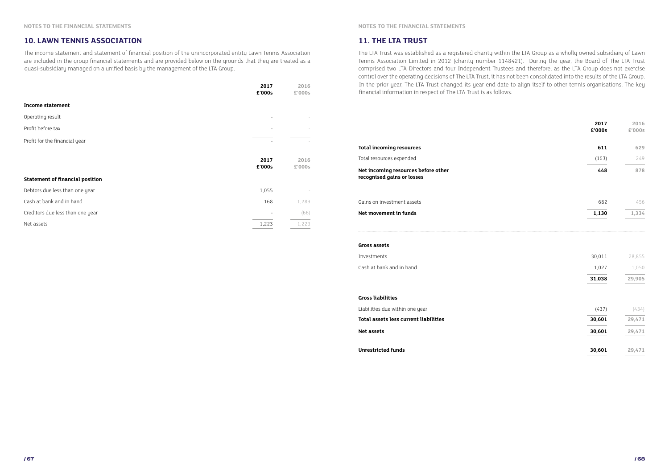The income statement and statement of financial position of the unincorporated entity Lawn Tennis Association are included in the group financial statements and are provided below on the grounds that they are treated as a quasi-subsidiary managed on a unified basis by the management of the LTA Group.

#### **10. LAWN TENNIS ASSOCIATION**

|                                        | 2017<br>£'000s           | 2016<br>£'000s |
|----------------------------------------|--------------------------|----------------|
| <b>Income statement</b>                |                          |                |
| Operating result                       | $\overline{\phantom{a}}$ |                |
| Profit before tax                      | $\overline{\phantom{a}}$ |                |
| Profit for the financial year          |                          |                |
|                                        | 2017<br>£'000s           | 2016<br>£'000s |
| <b>Statement of financial position</b> |                          |                |
| Debtors due less than one year         | 1,055                    |                |
| Cash at bank and in hand               | 168                      | 1,289          |
| Creditors due less than one year       |                          | (66)           |
| Net assets                             | 1,223                    | 1,223          |

#### **11. THE LTA TRUST**

The LTA Trust was established as a registered charity within the LTA Group as a wholly owned subsidiary of Lawn Tennis Association Limited in 2012 (charity number 1148421). During the year, the Board of The LTA Trust comprised two LTA Directors and four Independent Trustees and therefore, as the LTA Group does not exercise control over the operating decisions of The LTA Trust, it has not been consolidated into the results of the LTA Group. In the prior year, The LTA Trust changed its year end date to align itself to other tennis organisations. The key financial information in respect of The LTA Trust is as follows:

| Total resources expended                                          | (163) | 249   |
|-------------------------------------------------------------------|-------|-------|
| Net incoming resources before other<br>recognised gains or losses | 448   | 878   |
| Gains on investment assets                                        | 682   | 456   |
| Net movement in funds                                             | 1,130 | 1.334 |

|                                                                   | 2017<br>£'000s | 2016<br>£'000s |
|-------------------------------------------------------------------|----------------|----------------|
| <b>Total incoming resources</b>                                   | 611            | 629            |
| Total resources expended                                          | (163)          | 249            |
| Net incoming resources before other<br>recognised gains or losses | 448            | 878            |
| Gains on investment assets                                        | 682            | 456            |
| Net movement in funds                                             | 1,130          | 1,334          |
| <b>Gross assets</b>                                               |                |                |
| Investments                                                       | 30,011         | 28,855         |
| Cash at bank and in hand                                          | 1,027          | 1,050          |
|                                                                   | 31,038         | 29,905         |
| <b>Gross liabilities</b>                                          |                |                |
| Liabilities due within one year                                   | (437)          | (434)          |
| <b>Total assets less current liabilities</b>                      | 30,601         | 29,471         |
| <b>Net assets</b>                                                 | 30,601         | 29,471         |
| <b>Unrestricted funds</b>                                         | 30,601         | 29,471         |

#### **Gross liabilities**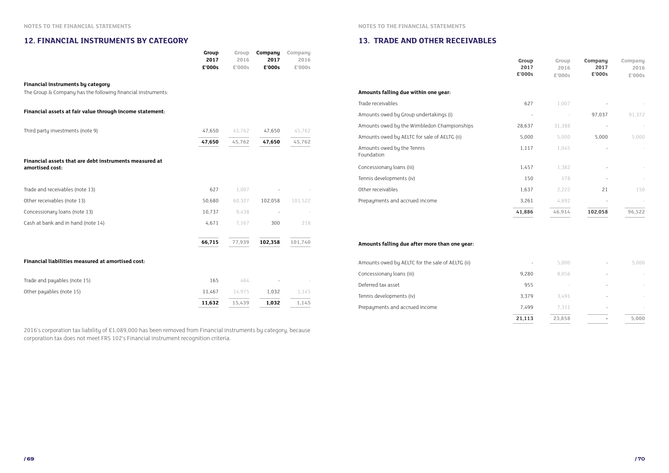#### **12. FINANCIAL INSTRUMENTS BY CATEGORY**

|                                                                                                          | Group<br>2017<br>£'000s | Group<br>2016<br>£'000s | Company<br>2017<br>£'000s | Company<br>2016<br>£'000s |
|----------------------------------------------------------------------------------------------------------|-------------------------|-------------------------|---------------------------|---------------------------|
| <b>Financial instruments by category</b><br>The Group & Company has the following financial instruments: |                         |                         |                           |                           |
| Financial assets at fair value through income statement:                                                 |                         |                         |                           |                           |
| Third party investments (note 9)                                                                         | 47,650                  | 45,762                  | 47,650                    | 45,762                    |
|                                                                                                          | 47,650                  | 45,762                  | 47,650                    | 45,762                    |
| Financial assets that are debt instruments measured at<br>amortised cost:                                |                         |                         |                           |                           |
| Trade and receivables (note 13)                                                                          | 627                     | 1,007                   |                           |                           |
| Other receivables (note 13)                                                                              | 50,680                  | 60,327                  | 102,058                   | 101,522                   |
| Concessionary loans (note 13)                                                                            | 10,737                  | 9,438                   | $\sim$                    |                           |
| Cash at bank and in hand (note 14)                                                                       | 4,671                   | 7,167                   | 300                       | 218                       |
|                                                                                                          | 66,715                  | 77,939                  | 102,358                   | 101,740                   |
| Financial liabilities measured at amortised cost:                                                        |                         |                         |                           |                           |
| Trade and payables (note 15)                                                                             | 165                     | 464                     |                           |                           |
| Other payables (note 15)                                                                                 | 11,467                  | 14,975                  | 1,032                     | 1,145                     |

**11,632 15,439 1,032 1,145**

2016's corporation tax liability of £1,089,000 has been removed from Financial instruments by category, because corporation tax does not meet FRS 102's Financial instrument recognition criteria.

#### **13. TRADE AND OTHER RECEIVABLES**

|                                              | Group<br>2017<br>£'000s | Group<br>2016<br>£'000s | Company<br>2017<br>£'000s | Company<br>2016<br>£'000s |
|----------------------------------------------|-------------------------|-------------------------|---------------------------|---------------------------|
| Amounts falling due within one year:         |                         |                         |                           |                           |
| Trade receivables                            | 627                     | 1,007                   |                           |                           |
| Amounts owed by Group undertakings (i)       |                         |                         | 97,037                    | 91,372                    |
| Amounts owed by the Wimbledon Championships  | 28,637                  | 31,388                  |                           |                           |
| Amounts owed by AELTC for sale of AELTG (ii) | 5,000                   | 5,000                   | 5,000                     | 5,000                     |
| Amounts owed by the Tennis<br>Foundation     | 1,117                   | 1,045                   |                           |                           |
| Concessionary loans (iii)                    | 1,457                   | 1,382                   |                           |                           |
| Tennis developments (iv)                     | 150                     | 178                     |                           |                           |
| Other receivables                            | 1,637                   | 2,222                   | 21                        | 150                       |
| Prepayments and accrued income               | 3,261                   | 4,692                   |                           |                           |
|                                              | 41,886                  | 46,914                  | 102,058                   | 96,522                    |

| Amounts falling due within one year:          |
|-----------------------------------------------|
| Trade receivables                             |
| Amounts owed by Group undertakings (i)        |
| Amounts owed by the Wimbledon Championships   |
| Amounts owed by AELTC for sale of AELTG (ii)  |
| Amounts owed by the Tennis<br>Foundation      |
| Concessionary loans (iii)                     |
| Tennis developments (iv)                      |
| Other receivables                             |
| Prepayments and accrued income                |
|                                               |
|                                               |
|                                               |
| Amounts falling due after more than one year: |

Amounts owed by AELTC for the sale of AELTG (ii) Concessionary loans (iii) Deferred tax asset Tennis developments (iv) Prepayments and accrued income

| 21,113 | 23,858 | 5,000 |
|--------|--------|-------|
| 7,499  | 7,311  |       |
| 3,379  | 3,491  |       |
| 955    |        |       |
| 9,280  | 8,056  |       |
|        | 5,000  | 5,000 |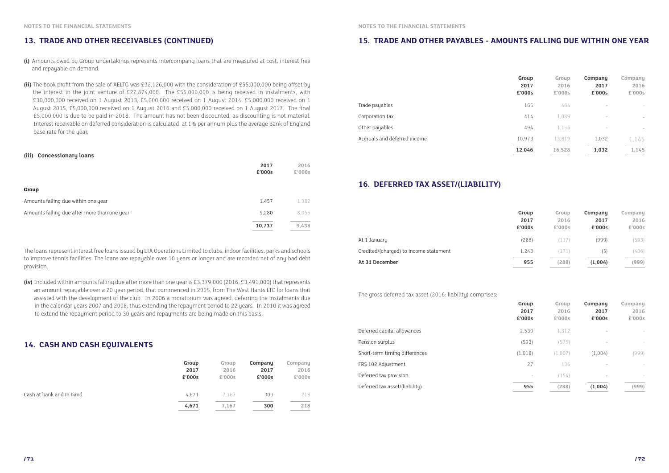#### **13. TRADE AND OTHER RECEIVABLES (CONTINUED)**

- **(i)** Amounts owed by Group undertakings represents intercompany loans that are measured at cost, interest free and repayable on demand.
- **(ii)** The book profit from the sale of AELTG was £32,126,000 with the consideration of £55,000,000 being offset by the interest in the joint venture of £22,874,000. The £55,000,000 is being received in instalments, with £30,000,000 received on 1 August 2013, £5,000,000 received on 1 August 2014, £5,000,000 received on 1 August 2015, £5,000,000 received on 1 August 2016 and £5,000,000 received on 1 August 2017. The final £5,000,000 is due to be paid in 2018. The amount has not been discounted, as discounting is not material. Interest receivable on deferred consideration is calculated at 1% per annum plus the average Bank of England base rate for the year.

The loans represent interest free loans issued by LTA Operations Limited to clubs, indoor facilities, parks and schools to improve tennis facilities. The loans are repayable over 10 years or longer and are recorded net of any bad debt provision.

**(iv)** Included within amounts falling due after more than one year is £3,379,000 (2016: £3,491,000) that represents an amount repayable over a 20 year period, that commenced in 2005, from The West Hants LTC for loans that assisted with the development of the club. In 2006 a moratorium was agreed, deferring the instalments due in the calendar years 2007 and 2008, thus extending the repayment period to 22 years. In 2010 it was agreed to extend the repayment period to 30 years and repayments are being made on this basis.

#### **(iii) Concessionary loans**

|                                              | 2017<br>£'000s | 2016<br>£'000s |
|----------------------------------------------|----------------|----------------|
| <b>Group</b>                                 |                |                |
| Amounts falling due within one year          | 1,457          | 1,382          |
| Amounts falling due after more than one year | 9,280          | 8,056          |
|                                              | 10,737         | 9,438          |

#### **14. CASH AND CASH EQUIVALENTS**

|                          | Group<br>2017<br>£'000s | Group<br>2016<br>£'000s | Company<br>2017<br>£'000s | Company<br>2016<br>£'000s |
|--------------------------|-------------------------|-------------------------|---------------------------|---------------------------|
| Cash at bank and in hand | 4,671                   | 7.167                   | 300                       | 218                       |
|                          | 4,671                   | 7,167                   | 300                       | 218                       |

#### **15. TRADE AND OTHER PAYABLES - AMOUNTS FALLING DUE WITHIN ONE YEAR**

#### **16. DEFERRED TAX ASSET/(LIABILITY)**

|                              | Group<br>2017<br>£'000s | Group<br>2016<br>£'000s | Company<br>2017<br>£'000s | Company<br>2016<br>£'000s             |
|------------------------------|-------------------------|-------------------------|---------------------------|---------------------------------------|
| Trade payables               | 165                     | 464                     | $\overline{\phantom{a}}$  | $\overline{\phantom{a}}$              |
| Corporation tax              | 414                     | 1,089                   | $\overline{\phantom{a}}$  | $\hspace{1.5cm} \rule{1.5cm}{0.15cm}$ |
| Other payables               | 494                     | 1,156                   | $\overline{\phantom{0}}$  | $\qquad \qquad \blacksquare$          |
| Accruals and deferred income | 10.973                  | 13,819                  | 1,032                     | 1,145                                 |
|                              | 12,046                  | 16,528                  | 1,032                     | 1,145                                 |
|                              |                         |                         |                           |                                       |

| Company<br>2016<br>£'000s | Company<br>2017<br>£'000s | Group<br>2016<br>£'000s | Group<br>2017<br>£'000s |
|---------------------------|---------------------------|-------------------------|-------------------------|
|                           |                           | 1,312                   | 2,539                   |
| $\overline{\phantom{0}}$  | -                         | (575)                   | (593)                   |
| (999)                     | (1,004)                   | (1,007)                 | (1,018)                 |
| $\overline{\phantom{0}}$  |                           | 136                     | 27                      |
| $\overline{a}$            |                           | (154)                   |                         |
| (999)                     | (1,004)                   | (288)                   | 955                     |
|                           |                           |                         |                         |

Deferred tax asset/(liability) **955 (288) (1,004) (999)**

|                                        | Group<br>2017<br>£'000s | Group<br>2016<br>£'000s | Company<br>2017<br>£'000s | Company<br>2016<br>£'000s |
|----------------------------------------|-------------------------|-------------------------|---------------------------|---------------------------|
| At 1 January                           | (288)                   | (117)                   | (999)                     | (593)                     |
| Credited/(charged) to income statement | 1,243                   | (171)                   | (5)                       | (406)                     |
| At 31 December                         | 955                     | (288)                   | (1,004)                   | (999)                     |
|                                        |                         |                         |                           |                           |

The gross deferred tax asset (2016: liability) comprises:

Deferred capital allowances

Pension surplus

Short-term timing differences

FRS 102 Adjustment

Deferred tax provision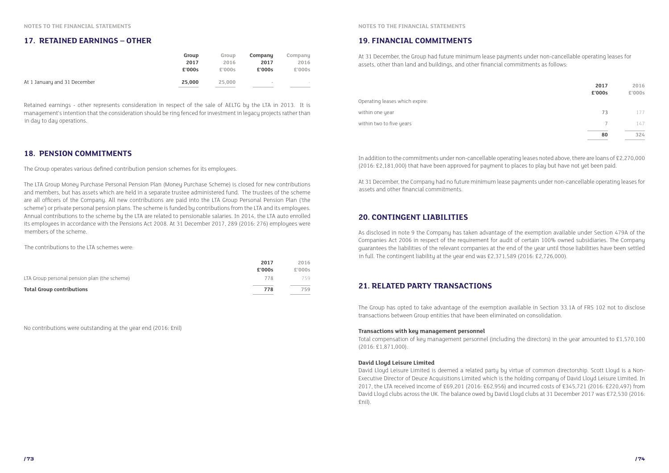#### **17. RETAINED EARNINGS – OTHER**

|                              | Group  | Group  | Company                  | Company |
|------------------------------|--------|--------|--------------------------|---------|
|                              | 2017   | 2016   | 2017                     | 2016    |
|                              | £'000s | £'000s | £'000s                   | £'000s  |
| At 1 January and 31 December | 25,000 | 25,000 | $\overline{\phantom{a}}$ | $\sim$  |

Retained earnings - other represents consideration in respect of the sale of AELTG by the LTA in 2013. It is management's intention that the consideration should be ring fenced for investment in legacy projects rather than in day to day operations.

#### **18. PENSION COMMITMENTS**

|                                              | 2017<br>£'000s | 2016<br>£'000s |
|----------------------------------------------|----------------|----------------|
| LTA Group personal pension plan (the scheme) | 778            | 759            |
| <b>Total Group contributions</b>             | 778            | 759            |

The Group operates various defined contribution pension schemes for its employees.

Operating leases which expire: within one year within two to five years

The LTA Group Money Purchase Personal Pension Plan (Money Purchase Scheme) is closed for new contributions and members, but has assets which are held in a separate trustee administered fund. The trustees of the scheme are all officers of the Company. All new contributions are paid into the LTA Group Personal Pension Plan ('the scheme') or private personal pension plans. The scheme is funded by contributions from the LTA and its employees. Annual contributions to the scheme by the LTA are related to pensionable salaries. In 2014, the LTA auto enrolled its employees in accordance with the Pensions Act 2008. At 31 December 2017, 289 (2016: 276) employees were members of the scheme.

At 31 December, the Company had no future minimum lease payments under non-cancellable operating leases for assets and other financial commitments.

The contributions to the LTA schemes were:

No contributions were outstanding at the year end (2016: £nil)

#### **20. CONTINGENT LIABILITIES**

#### **21. RELATED PARTY TRANSACTIONS**

#### **19. FINANCIAL COMMITMENTS**

| 2017<br>£'000s | 2016<br>£'000s |
|----------------|----------------|
| 73             | 177            |
| 7              | 147            |
| 80             | 324            |

As disclosed in note 9 the Company has taken advantage of the exemption available under Section 479A of the Companies Act 2006 in respect of the requirement for audit of certain 100% owned subsidiaries. The Company guarantees the liabilities of the relevant companies at the end of the year until those liabilities have been settled in full. The contingent liability at the year end was £2,371,589 (2016: £2,726,000).

At 31 December, the Group had future minimum lease payments under non-cancellable operating leases for assets, other than land and buildings, and other financial commitments as follows:

In addition to the commitments under non-cancellable operating leases noted above, there are loans of £2,270,000 (2016: £2,181,000) that have been approved for payment to places to play but have not yet been paid.

The Group has opted to take advantage of the exemption available in Section 33.1A of FRS 102 not to disclose transactions between Group entities that have been eliminated on consolidation.

#### **Transactions with key management personnel**

Total compensation of key management personnel (including the directors) in the year amounted to £1,570,100 (2016: £1,871,000).

#### **David Lloyd Leisure Limited**

David Lloyd Leisure Limited is deemed a related party by virtue of common directorship. Scott Lloyd is a Non-Executive Director of Deuce Acquisitions Limited which is the holding company of David Lloyd Leisure Limited. In 2017, the LTA received income of £69,201 (2016: £62,956) and incurred costs of £345,721 (2016: £220,497) from David Lloyd clubs across the UK. The balance owed by David Lloyd clubs at 31 December 2017 was £72,530 (2016: £nil).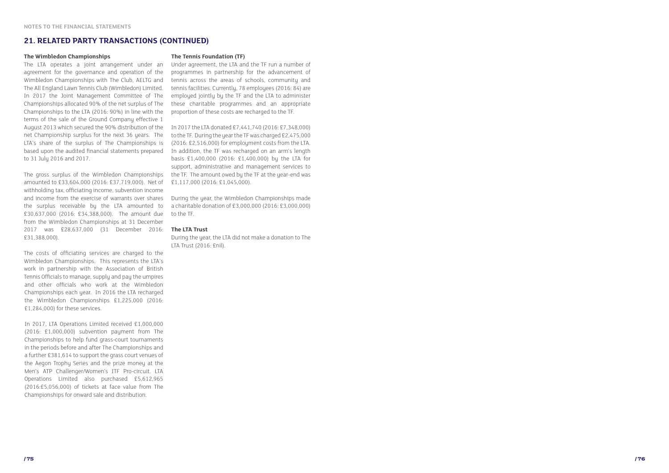#### **21. RELATED PARTY TRANSACTIONS (CONTINUED)**



#### **The Wimbledon Championships**

The LTA operates a joint arrangement under an agreement for the governance and operation of the Wimbledon Championships with The Club, AELTG and The All England Lawn Tennis Club (Wimbledon) Limited. In 2017 the Joint Management Committee of The Championships allocated 90% of the net surplus of The Championships to the LTA (2016: 90%) in line with the terms of the sale of the Ground Company effective 1 August 2013 which secured the 90% distribution of the net Championship surplus for the next 36 years. The LTA's share of the surplus of The Championships is based upon the audited financial statements prepared to 31 July 2016 and 2017.

The gross surplus of the Wimbledon Championships amounted to £33,604,000 (2016: £37,719,000). Net of withholding tax, officiating income, subvention income and income from the exercise of warrants over shares the surplus receivable by the LTA amounted to £30,637,000 (2016: £34,388,000). The amount due from the Wimbledon Championships at 31 December 2017 was £28,637,000 (31 December 2016: **The LTA Trust** £31,388,000).

The costs of officiating services are charged to the Wimbledon Championships. This represents the LTA's work in partnership with the Association of British Tennis Officials to manage, supply and pay the umpires and other officials who work at the Wimbledon Championships each year. In 2016 the LTA recharged the Wimbledon Championships £1,225,000 (2016: £1,284,000) for these services.

In 2017, LTA Operations Limited received £1,000,000 (2016: £1,000,000) subvention payment from The Championships to help fund grass-court tournaments in the periods before and after The Championships and a further £381,614 to support the grass court venues of the Aegon Trophy Series and the prize money at the Men's ATP Challenger/Women's ITF Pro-circuit. LTA Operations Limited also purchased £5,612,965 (2016:£5,056,000) of tickets at face value from The Championships for onward sale and distribution.

#### **The Tennis Foundation (TF)**

Under agreement, the LTA and the TF run a number of programmes in partnership for the advancement of tennis across the areas of schools, community and tennis facilities. Currently, 78 employees (2016: 84) are employed jointly by the TF and the LTA to administer these charitable programmes and an appropriate proportion of these costs are recharged to the TF.

In 2017 the LTA donated £7,441,740 (2016: £7,348,000) to the TF. During the year the TF was charged £2,475,000 (2016: £2,516,000) for employment costs from the LTA. In addition, the TF was recharged on an arm's length basis £1,400,000 (2016: £1,400,000) by the LTA for support, administrative and management services to the TF. The amount owed by the TF at the year-end was £1,117,000 (2016: £1,045,000).

During the year, the Wimbledon Championships made a charitable donation of £3,000,000 (2016: £3,000,000) to the TF.

During the year, the LTA did not make a donation to The LTA Trust (2016: £nil).